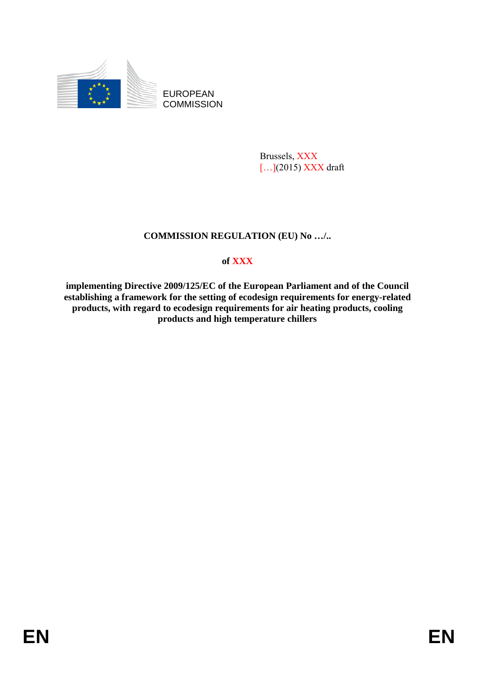

EUROPEAN **COMMISSION** 

> Brussels, XXX [...](2015) XXX draft

# **COMMISSION REGULATION (EU) No …/..**

# **of XXX**

**implementing Directive 2009/125/EC of the European Parliament and of the Council establishing a framework for the setting of ecodesign requirements for energy-related products, with regard to ecodesign requirements for air heating products, cooling products and high temperature chillers**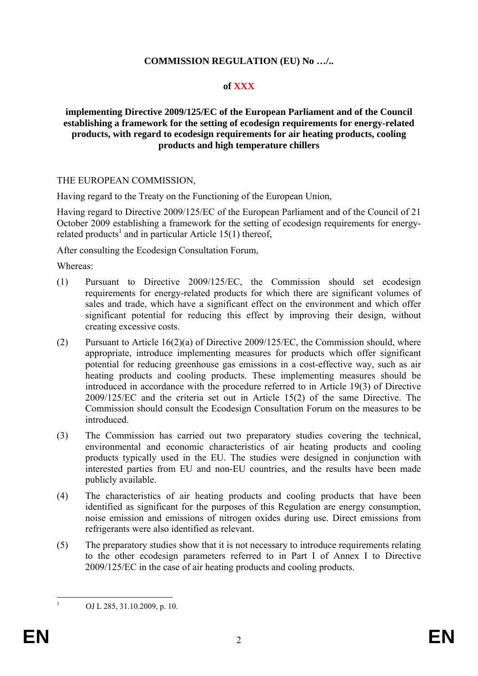### **COMMISSION REGULATION (EU) No …/..**

### **of XXX**

### **implementing Directive 2009/125/EC of the European Parliament and of the Council establishing a framework for the setting of ecodesign requirements for energy-related products, with regard to ecodesign requirements for air heating products, cooling products and high temperature chillers**

### THE EUROPEAN COMMISSION,

Having regard to the Treaty on the Functioning of the European Union,

Having regard to Directive 2009/125/EC of the European Parliament and of the Council of 21 October 2009 establishing a framework for the setting of ecodesign requirements for energyrelated products<sup>1</sup> and in particular Article 15(1) thereof,

After consulting the Ecodesign Consultation Forum,

Whereas:

- (1) Pursuant to Directive 2009/125/EC, the Commission should set ecodesign requirements for energy-related products for which there are significant volumes of sales and trade, which have a significant effect on the environment and which offer significant potential for reducing this effect by improving their design, without creating excessive costs.
- (2) Pursuant to Article 16(2)(a) of Directive 2009/125/EC, the Commission should, where appropriate, introduce implementing measures for products which offer significant potential for reducing greenhouse gas emissions in a cost-effective way, such as air heating products and cooling products. These implementing measures should be introduced in accordance with the procedure referred to in Article 19(3) of Directive 2009/125/EC and the criteria set out in Article 15(2) of the same Directive. The Commission should consult the Ecodesign Consultation Forum on the measures to be introduced.
- (3) The Commission has carried out two preparatory studies covering the technical, environmental and economic characteristics of air heating products and cooling products typically used in the EU. The studies were designed in conjunction with interested parties from EU and non-EU countries, and the results have been made publicly available.
- (4) The characteristics of air heating products and cooling products that have been identified as significant for the purposes of this Regulation are energy consumption, noise emission and emissions of nitrogen oxides during use. Direct emissions from refrigerants were also identified as relevant.
- (5) The preparatory studies show that it is not necessary to introduce requirements relating to the other ecodesign parameters referred to in Part I of Annex I to Directive 2009/125/EC in the case of air heating products and cooling products.

 $\frac{1}{1}$ 

OJ L 285, 31.10.2009, p. 10.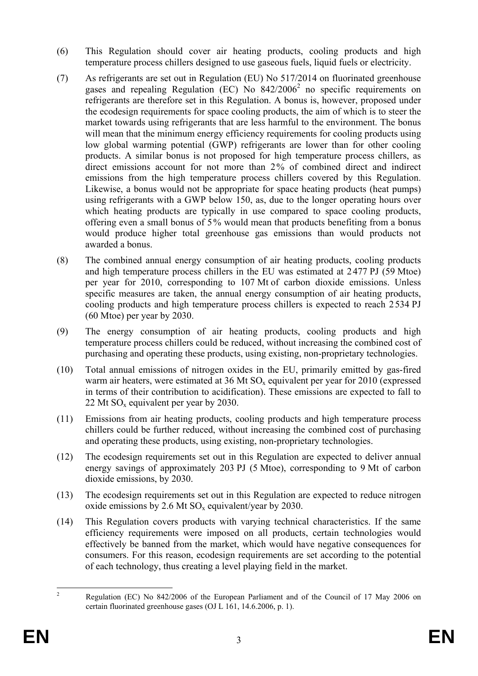- (6) This Regulation should cover air heating products, cooling products and high temperature process chillers designed to use gaseous fuels, liquid fuels or electricity.
- (7) As refrigerants are set out in Regulation (EU) No 517/2014 on fluorinated greenhouse gases and repealing Regulation (EC) No  $842/2006^2$  no specific requirements on refrigerants are therefore set in this Regulation. A bonus is, however, proposed under the ecodesign requirements for space cooling products, the aim of which is to steer the market towards using refrigerants that are less harmful to the environment. The bonus will mean that the minimum energy efficiency requirements for cooling products using low global warming potential (GWP) refrigerants are lower than for other cooling products. A similar bonus is not proposed for high temperature process chillers, as direct emissions account for not more than 2% of combined direct and indirect emissions from the high temperature process chillers covered by this Regulation. Likewise, a bonus would not be appropriate for space heating products (heat pumps) using refrigerants with a GWP below 150, as, due to the longer operating hours over which heating products are typically in use compared to space cooling products, offering even a small bonus of 5% would mean that products benefiting from a bonus would produce higher total greenhouse gas emissions than would products not awarded a bonus.
- (8) The combined annual energy consumption of air heating products, cooling products and high temperature process chillers in the EU was estimated at 2477 PJ (59 Mtoe) per year for 2010, corresponding to 107 Mt of carbon dioxide emissions. Unless specific measures are taken, the annual energy consumption of air heating products, cooling products and high temperature process chillers is expected to reach 2534 PJ (60 Mtoe) per year by 2030.
- (9) The energy consumption of air heating products, cooling products and high temperature process chillers could be reduced, without increasing the combined cost of purchasing and operating these products, using existing, non-proprietary technologies.
- (10) Total annual emissions of nitrogen oxides in the EU, primarily emitted by gas-fired warm air heaters, were estimated at  $36 \text{ Mt}$  SO<sub>x</sub> equivalent per year for  $2010$  (expressed in terms of their contribution to acidification). These emissions are expected to fall to 22 Mt  $SO_x$  equivalent per year by 2030.
- (11) Emissions from air heating products, cooling products and high temperature process chillers could be further reduced, without increasing the combined cost of purchasing and operating these products, using existing, non-proprietary technologies.
- (12) The ecodesign requirements set out in this Regulation are expected to deliver annual energy savings of approximately 203 PJ (5 Mtoe), corresponding to 9 Mt of carbon dioxide emissions, by 2030.
- (13) The ecodesign requirements set out in this Regulation are expected to reduce nitrogen oxide emissions by 2.6 Mt  $SO_x$  equivalent/year by 2030.
- (14) This Regulation covers products with varying technical characteristics. If the same efficiency requirements were imposed on all products, certain technologies would effectively be banned from the market, which would have negative consequences for consumers. For this reason, ecodesign requirements are set according to the potential of each technology, thus creating a level playing field in the market.

 $\frac{1}{2}$  Regulation (EC) No 842/2006 of the European Parliament and of the Council of 17 May 2006 on certain fluorinated greenhouse gases (OJ L 161, 14.6.2006, p. 1).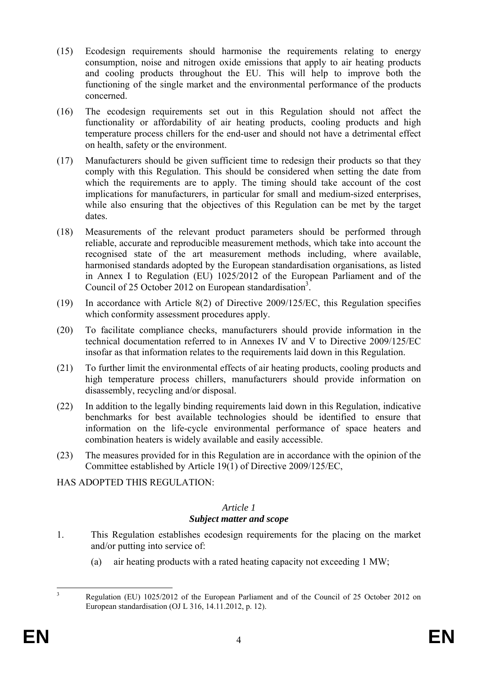- (15) Ecodesign requirements should harmonise the requirements relating to energy consumption, noise and nitrogen oxide emissions that apply to air heating products and cooling products throughout the EU. This will help to improve both the functioning of the single market and the environmental performance of the products concerned.
- (16) The ecodesign requirements set out in this Regulation should not affect the functionality or affordability of air heating products, cooling products and high temperature process chillers for the end-user and should not have a detrimental effect on health, safety or the environment.
- (17) Manufacturers should be given sufficient time to redesign their products so that they comply with this Regulation. This should be considered when setting the date from which the requirements are to apply. The timing should take account of the cost implications for manufacturers, in particular for small and medium-sized enterprises, while also ensuring that the objectives of this Regulation can be met by the target dates.
- (18) Measurements of the relevant product parameters should be performed through reliable, accurate and reproducible measurement methods, which take into account the recognised state of the art measurement methods including, where available, harmonised standards adopted by the European standardisation organisations, as listed in Annex I to Regulation (EU) 1025/2012 of the European Parliament and of the Council of 25 October 2012 on European standardisation<sup>3</sup>.
- (19) In accordance with Article 8(2) of Directive 2009/125/EC, this Regulation specifies which conformity assessment procedures apply.
- (20) To facilitate compliance checks, manufacturers should provide information in the technical documentation referred to in Annexes IV and V to Directive 2009/125/EC insofar as that information relates to the requirements laid down in this Regulation.
- (21) To further limit the environmental effects of air heating products, cooling products and high temperature process chillers, manufacturers should provide information on disassembly, recycling and/or disposal.
- (22) In addition to the legally binding requirements laid down in this Regulation, indicative benchmarks for best available technologies should be identified to ensure that information on the life-cycle environmental performance of space heaters and combination heaters is widely available and easily accessible.
- (23) The measures provided for in this Regulation are in accordance with the opinion of the Committee established by Article 19(1) of Directive 2009/125/EC,

HAS ADOPTED THIS REGULATION:

### *Article 1 Subject matter and scope*

- 1. This Regulation establishes ecodesign requirements for the placing on the market and/or putting into service of:
	- (a) air heating products with a rated heating capacity not exceeding 1 MW;

 $\frac{1}{3}$  Regulation (EU) 1025/2012 of the European Parliament and of the Council of 25 October 2012 on European standardisation (OJ L 316, 14.11.2012, p. 12).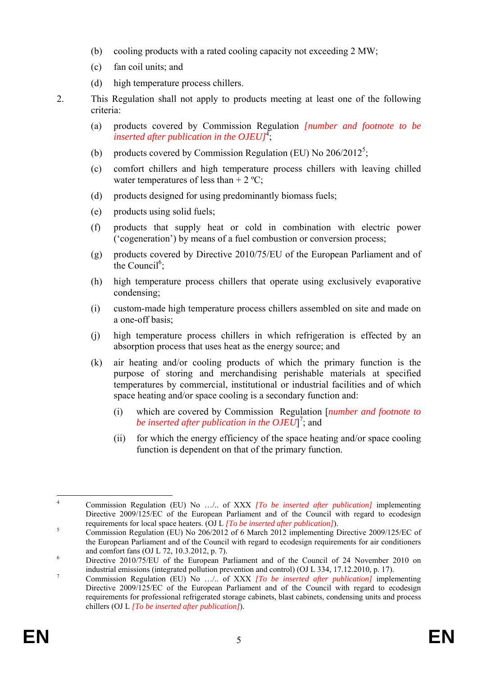- (b) cooling products with a rated cooling capacity not exceeding 2 MW;
- (c) fan coil units; and
- (d) high temperature process chillers.
- 2. This Regulation shall not apply to products meeting at least one of the following criteria:
	- (a) products covered by Commission Regulation *[number and footnote to be inserted after publication in the OJEU]*<sup>4</sup> ;
	- (b) products covered by Commission Regulation (EU) No  $206/2012^5$ ;
	- (c) comfort chillers and high temperature process chillers with leaving chilled water temperatures of less than  $+ 2 \degree C$ ;
	- (d) products designed for using predominantly biomass fuels;
	- (e) products using solid fuels;
	- (f) products that supply heat or cold in combination with electric power ('cogeneration') by means of a fuel combustion or conversion process;
	- (g) products covered by Directive 2010/75/EU of the European Parliament and of the Council<sup>6</sup>;
	- (h) high temperature process chillers that operate using exclusively evaporative condensing;
	- (i) custom-made high temperature process chillers assembled on site and made on a one-off basis;
	- (j) high temperature process chillers in which refrigeration is effected by an absorption process that uses heat as the energy source; and
	- (k) air heating and/or cooling products of which the primary function is the purpose of storing and merchandising perishable materials at specified temperatures by commercial, institutional or industrial facilities and of which space heating and/or space cooling is a secondary function and:
		- (i) which are covered by Commission Regulation [*number and footnote to*  be inserted after publication in the OJEU]<sup>7</sup>; and
		- (ii) for which the energy efficiency of the space heating and/or space cooling function is dependent on that of the primary function.

 $\frac{1}{4}$  Commission Regulation (EU) No …/.. of XXX *[To be inserted after publication]* implementing Directive 2009/125/EC of the European Parliament and of the Council with regard to ecodesign requirements for local space heaters. (OJ L *[To be inserted after publication]*). 5

Commission Regulation (EU) No 206/2012 of 6 March 2012 implementing Directive 2009/125/EC of the European Parliament and of the Council with regard to ecodesign requirements for air conditioners and comfort fans (OJ L 72, 10.3.2012, p. 7).

Directive 2010/75/EU of the European Parliament and of the Council of 24 November 2010 on industrial emissions (integrated pollution prevention and control) (OJ L 334, 17.12.2010, p. 17).

Commission Regulation (EU) No …/.. of XXX *[To be inserted after publication]* implementing Directive 2009/125/EC of the European Parliament and of the Council with regard to ecodesign requirements for professional refrigerated storage cabinets, blast cabinets, condensing units and process chillers (OJ L *[To be inserted after publication]*).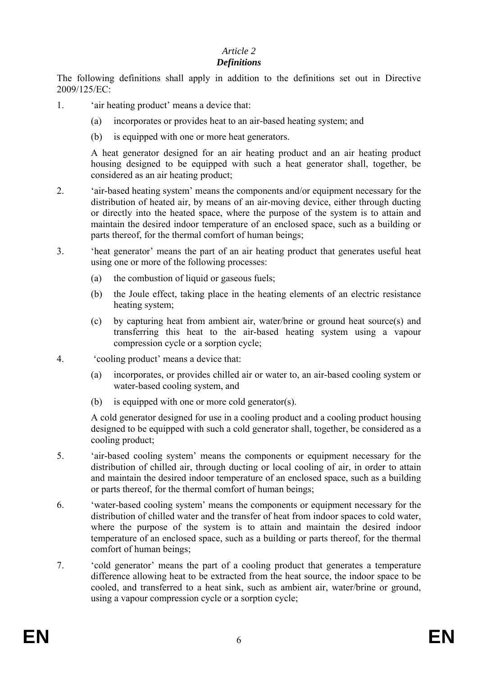### *Article 2*

### *Definitions*

The following definitions shall apply in addition to the definitions set out in Directive 2009/125/EC:

- 1. 'air heating product' means a device that:
	- (a) incorporates or provides heat to an air-based heating system; and
	- (b) is equipped with one or more heat generators.

A heat generator designed for an air heating product and an air heating product housing designed to be equipped with such a heat generator shall, together, be considered as an air heating product;

- 2. 'air-based heating system' means the components and/or equipment necessary for the distribution of heated air, by means of an air-moving device, either through ducting or directly into the heated space, where the purpose of the system is to attain and maintain the desired indoor temperature of an enclosed space, such as a building or parts thereof, for the thermal comfort of human beings;
- 3. 'heat generator' means the part of an air heating product that generates useful heat using one or more of the following processes:
	- (a) the combustion of liquid or gaseous fuels;
	- (b) the Joule effect, taking place in the heating elements of an electric resistance heating system;
	- (c) by capturing heat from ambient air, water/brine or ground heat source(s) and transferring this heat to the air-based heating system using a vapour compression cycle or a sorption cycle;
- 4. 'cooling product' means a device that:
	- (a) incorporates, or provides chilled air or water to, an air-based cooling system or water-based cooling system, and
	- (b) is equipped with one or more cold generator(s).

A cold generator designed for use in a cooling product and a cooling product housing designed to be equipped with such a cold generator shall, together, be considered as a cooling product;

- 5. 'air-based cooling system' means the components or equipment necessary for the distribution of chilled air, through ducting or local cooling of air, in order to attain and maintain the desired indoor temperature of an enclosed space, such as a building or parts thereof, for the thermal comfort of human beings;
- 6. 'water-based cooling system' means the components or equipment necessary for the distribution of chilled water and the transfer of heat from indoor spaces to cold water, where the purpose of the system is to attain and maintain the desired indoor temperature of an enclosed space, such as a building or parts thereof, for the thermal comfort of human beings;
- 7. 'cold generator' means the part of a cooling product that generates a temperature difference allowing heat to be extracted from the heat source, the indoor space to be cooled, and transferred to a heat sink, such as ambient air, water/brine or ground, using a vapour compression cycle or a sorption cycle;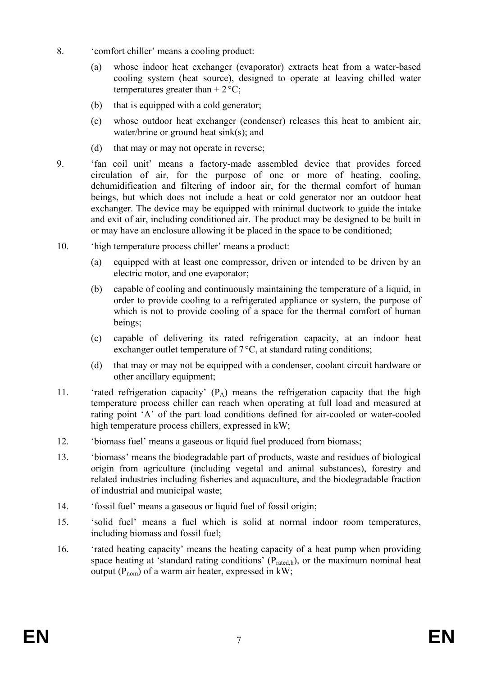- 8. 'comfort chiller' means a cooling product:
	- (a) whose indoor heat exchanger (evaporator) extracts heat from a water-based cooling system (heat source), designed to operate at leaving chilled water temperatures greater than  $+ 2^{\circ}C$ ;
	- (b) that is equipped with a cold generator;
	- (c) whose outdoor heat exchanger (condenser) releases this heat to ambient air, water/brine or ground heat sink(s); and
	- (d) that may or may not operate in reverse;
- 9. 'fan coil unit' means a factory-made assembled device that provides forced circulation of air, for the purpose of one or more of heating, cooling, dehumidification and filtering of indoor air, for the thermal comfort of human beings, but which does not include a heat or cold generator nor an outdoor heat exchanger. The device may be equipped with minimal ductwork to guide the intake and exit of air, including conditioned air. The product may be designed to be built in or may have an enclosure allowing it be placed in the space to be conditioned;
- 10. 'high temperature process chiller' means a product:
	- (a) equipped with at least one compressor, driven or intended to be driven by an electric motor, and one evaporator;
	- (b) capable of cooling and continuously maintaining the temperature of a liquid, in order to provide cooling to a refrigerated appliance or system, the purpose of which is not to provide cooling of a space for the thermal comfort of human beings;
	- (c) capable of delivering its rated refrigeration capacity, at an indoor heat exchanger outlet temperature of 7°C, at standard rating conditions;
	- (d) that may or may not be equipped with a condenser, coolant circuit hardware or other ancillary equipment;
- 11. 'rated refrigeration capacity'  $(P_A)$  means the refrigeration capacity that the high temperature process chiller can reach when operating at full load and measured at rating point 'A' of the part load conditions defined for air-cooled or water-cooled high temperature process chillers, expressed in kW;
- 12. 'biomass fuel' means a gaseous or liquid fuel produced from biomass;
- 13. 'biomass' means the biodegradable part of products, waste and residues of biological origin from agriculture (including vegetal and animal substances), forestry and related industries including fisheries and aquaculture, and the biodegradable fraction of industrial and municipal waste;
- 14. 'fossil fuel' means a gaseous or liquid fuel of fossil origin;
- 15. 'solid fuel' means a fuel which is solid at normal indoor room temperatures, including biomass and fossil fuel;
- 16. 'rated heating capacity' means the heating capacity of a heat pump when providing space heating at 'standard rating conditions'  $(P_{\text{rated.h}})$ , or the maximum nominal heat output  $(P_{\text{nom}})$  of a warm air heater, expressed in kW;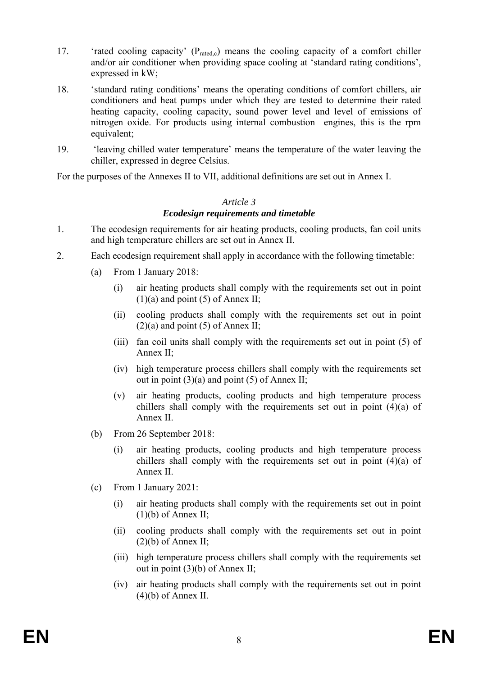- 17. 'rated cooling capacity'  $(P_{\text{rated }c})$  means the cooling capacity of a comfort chiller and/or air conditioner when providing space cooling at 'standard rating conditions', expressed in kW;
- 18. 'standard rating conditions' means the operating conditions of comfort chillers, air conditioners and heat pumps under which they are tested to determine their rated heating capacity, cooling capacity, sound power level and level of emissions of nitrogen oxide. For products using internal combustion engines, this is the rpm equivalent;
- 19. 'leaving chilled water temperature' means the temperature of the water leaving the chiller, expressed in degree Celsius.

For the purposes of the Annexes II to VII, additional definitions are set out in Annex I.

## *Article 3*

### *Ecodesign requirements and timetable*

- 1. The ecodesign requirements for air heating products, cooling products, fan coil units and high temperature chillers are set out in Annex II.
- 2. Each ecodesign requirement shall apply in accordance with the following timetable:
	- (a) From 1 January 2018:
		- (i) air heating products shall comply with the requirements set out in point  $(1)(a)$  and point  $(5)$  of Annex II;
		- (ii) cooling products shall comply with the requirements set out in point  $(2)(a)$  and point  $(5)$  of Annex II;
		- (iii) fan coil units shall comply with the requirements set out in point (5) of Annex II;
		- (iv) high temperature process chillers shall comply with the requirements set out in point  $(3)(a)$  and point  $(5)$  of Annex II;
		- (v) air heating products, cooling products and high temperature process chillers shall comply with the requirements set out in point (4)(a) of Annex II.
	- (b) From 26 September 2018:
		- (i) air heating products, cooling products and high temperature process chillers shall comply with the requirements set out in point (4)(a) of Annex II.
	- (c) From 1 January 2021:
		- (i) air heating products shall comply with the requirements set out in point  $(1)(b)$  of Annex II;
		- (ii) cooling products shall comply with the requirements set out in point  $(2)(b)$  of Annex II;
		- (iii) high temperature process chillers shall comply with the requirements set out in point (3)(b) of Annex II;
		- (iv) air heating products shall comply with the requirements set out in point  $(4)(b)$  of Annex II.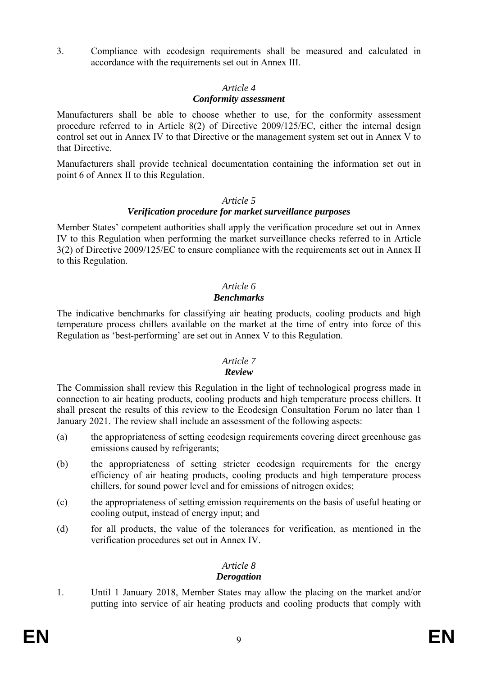3. Compliance with ecodesign requirements shall be measured and calculated in accordance with the requirements set out in Annex III.

#### *Article 4*

#### *Conformity assessment*

Manufacturers shall be able to choose whether to use, for the conformity assessment procedure referred to in Article 8(2) of Directive 2009/125/EC, either the internal design control set out in Annex IV to that Directive or the management system set out in Annex V to that Directive.

Manufacturers shall provide technical documentation containing the information set out in point 6 of Annex II to this Regulation.

### *Article 5*

### *Verification procedure for market surveillance purposes*

Member States' competent authorities shall apply the verification procedure set out in Annex IV to this Regulation when performing the market surveillance checks referred to in Article 3(2) of Directive 2009/125/EC to ensure compliance with the requirements set out in Annex II to this Regulation.

### *Article 6 Benchmarks*

The indicative benchmarks for classifying air heating products, cooling products and high temperature process chillers available on the market at the time of entry into force of this Regulation as 'best-performing' are set out in Annex V to this Regulation.

### *Article 7*

### *Review*

The Commission shall review this Regulation in the light of technological progress made in connection to air heating products, cooling products and high temperature process chillers. It shall present the results of this review to the Ecodesign Consultation Forum no later than 1 January 2021. The review shall include an assessment of the following aspects:

- (a) the appropriateness of setting ecodesign requirements covering direct greenhouse gas emissions caused by refrigerants;
- (b) the appropriateness of setting stricter ecodesign requirements for the energy efficiency of air heating products, cooling products and high temperature process chillers, for sound power level and for emissions of nitrogen oxides;
- (c) the appropriateness of setting emission requirements on the basis of useful heating or cooling output, instead of energy input; and
- (d) for all products, the value of the tolerances for verification, as mentioned in the verification procedures set out in Annex IV.

#### *Article 8 Derogation*

1. Until 1 January 2018, Member States may allow the placing on the market and/or putting into service of air heating products and cooling products that comply with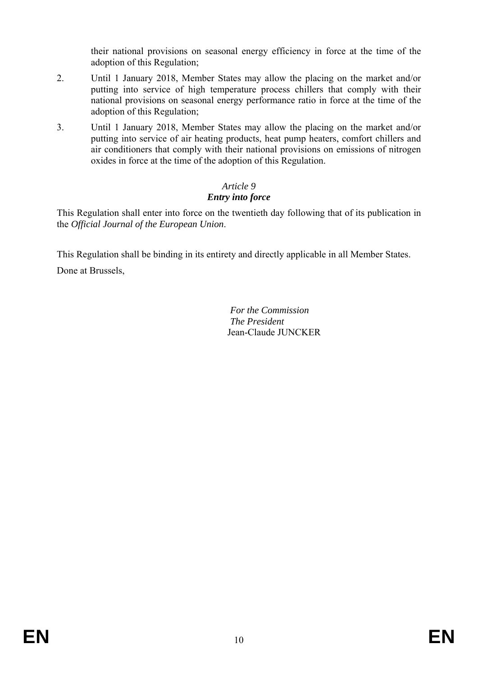their national provisions on seasonal energy efficiency in force at the time of the adoption of this Regulation;

- 2. Until 1 January 2018, Member States may allow the placing on the market and/or putting into service of high temperature process chillers that comply with their national provisions on seasonal energy performance ratio in force at the time of the adoption of this Regulation;
- 3. Until 1 January 2018, Member States may allow the placing on the market and/or putting into service of air heating products, heat pump heaters, comfort chillers and air conditioners that comply with their national provisions on emissions of nitrogen oxides in force at the time of the adoption of this Regulation.

# *Article 9 Entry into force*

This Regulation shall enter into force on the twentieth day following that of its publication in the *Official Journal of the European Union*.

This Regulation shall be binding in its entirety and directly applicable in all Member States. Done at Brussels,

> *For the Commission The President*  Jean-Claude JUNCKER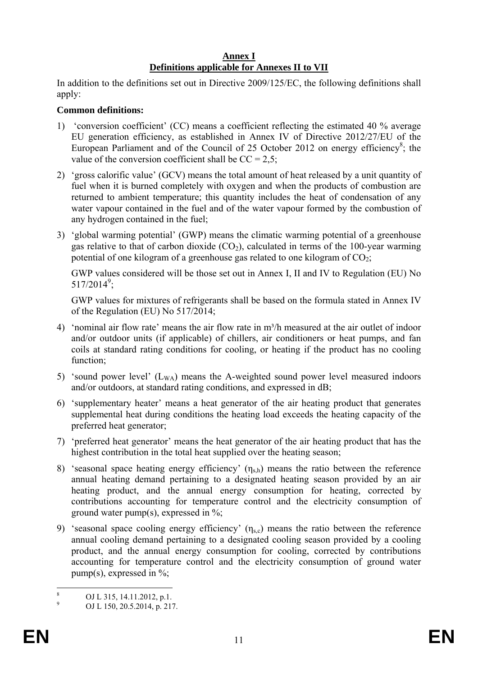### **Annex I Definitions applicable for Annexes II to VII**

In addition to the definitions set out in Directive 2009/125/EC, the following definitions shall apply:

### **Common definitions:**

- 1) 'conversion coefficient' (CC) means a coefficient reflecting the estimated 40 % average EU generation efficiency, as established in Annex IV of Directive 2012/27/EU of the European Parliament and of the Council of  $25$  October  $2012$  on energy efficiency<sup>8</sup>; the value of the conversion coefficient shall be  $CC = 2.5$ ;
- 2) 'gross calorific value' (GCV) means the total amount of heat released by a unit quantity of fuel when it is burned completely with oxygen and when the products of combustion are returned to ambient temperature; this quantity includes the heat of condensation of any water vapour contained in the fuel and of the water vapour formed by the combustion of any hydrogen contained in the fuel;
- 3) 'global warming potential' (GWP) means the climatic warming potential of a greenhouse gas relative to that of carbon dioxide  $(CO<sub>2</sub>)$ , calculated in terms of the 100-year warming potential of one kilogram of a greenhouse gas related to one kilogram of  $CO<sub>2</sub>$ ;

GWP values considered will be those set out in Annex I, II and IV to Regulation (EU) No  $517/2014^9$ ;

GWP values for mixtures of refrigerants shall be based on the formula stated in Annex IV of the Regulation (EU) No 517/2014;

- 4) 'nominal air flow rate' means the air flow rate in m<sup>3</sup>/h measured at the air outlet of indoor and/or outdoor units (if applicable) of chillers, air conditioners or heat pumps, and fan coils at standard rating conditions for cooling, or heating if the product has no cooling function:
- 5) 'sound power level'  $(L_{WA})$  means the A-weighted sound power level measured indoors and/or outdoors, at standard rating conditions, and expressed in dB;
- 6) 'supplementary heater' means a heat generator of the air heating product that generates supplemental heat during conditions the heating load exceeds the heating capacity of the preferred heat generator;
- 7) 'preferred heat generator' means the heat generator of the air heating product that has the highest contribution in the total heat supplied over the heating season;
- 8) 'seasonal space heating energy efficiency'  $(\eta_{s,h})$  means the ratio between the reference annual heating demand pertaining to a designated heating season provided by an air heating product, and the annual energy consumption for heating, corrected by contributions accounting for temperature control and the electricity consumption of ground water pump(s), expressed in %;
- 9) 'seasonal space cooling energy efficiency'  $(\eta_{s,c})$  means the ratio between the reference annual cooling demand pertaining to a designated cooling season provided by a cooling product, and the annual energy consumption for cooling, corrected by contributions accounting for temperature control and the electricity consumption of ground water pump(s), expressed in  $\%$ ;

 $\frac{1}{8}$ OJ L 315, 14.11.2012, p.1.

<sup>9</sup> OJ L 150, 20.5.2014, p. 217.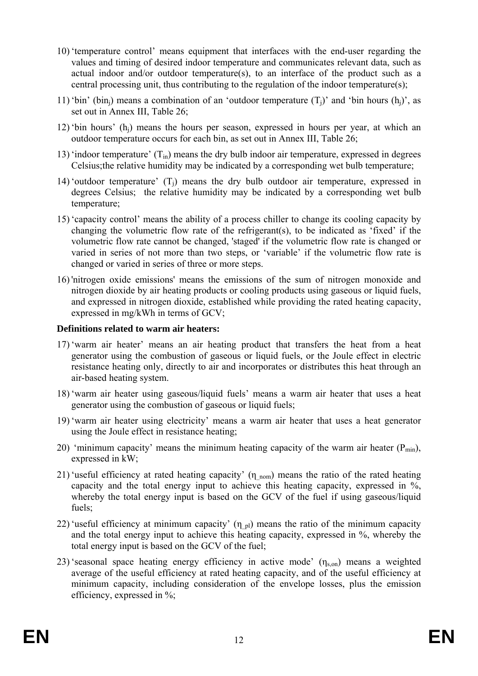- 10) 'temperature control' means equipment that interfaces with the end-user regarding the values and timing of desired indoor temperature and communicates relevant data, such as actual indoor and/or outdoor temperature(s), to an interface of the product such as a central processing unit, thus contributing to the regulation of the indoor temperature(s);
- 11) 'bin' (bin<sub>i</sub>) means a combination of an 'outdoor temperature  $(T_i)$ ' and 'bin hours (h<sub>i</sub>)', as set out in Annex III, Table 26;
- 12) 'bin hours' (hj) means the hours per season, expressed in hours per year, at which an outdoor temperature occurs for each bin, as set out in Annex III, Table 26;
- 13) 'indoor temperature'  $(T_{in})$  means the dry bulb indoor air temperature, expressed in degrees Celsius;the relative humidity may be indicated by a corresponding wet bulb temperature;
- 14) 'outdoor temperature' (Tj) means the dry bulb outdoor air temperature, expressed in degrees Celsius; the relative humidity may be indicated by a corresponding wet bulb temperature;
- 15) 'capacity control' means the ability of a process chiller to change its cooling capacity by changing the volumetric flow rate of the refrigerant(s), to be indicated as 'fixed' if the volumetric flow rate cannot be changed, 'staged' if the volumetric flow rate is changed or varied in series of not more than two steps, or 'variable' if the volumetric flow rate is changed or varied in series of three or more steps.
- 16) 'nitrogen oxide emissions' means the emissions of the sum of nitrogen monoxide and nitrogen dioxide by air heating products or cooling products using gaseous or liquid fuels, and expressed in nitrogen dioxide, established while providing the rated heating capacity, expressed in mg/kWh in terms of GCV;

### **Definitions related to warm air heaters:**

- 17) 'warm air heater' means an air heating product that transfers the heat from a heat generator using the combustion of gaseous or liquid fuels, or the Joule effect in electric resistance heating only, directly to air and incorporates or distributes this heat through an air-based heating system.
- 18) 'warm air heater using gaseous/liquid fuels' means a warm air heater that uses a heat generator using the combustion of gaseous or liquid fuels;
- 19) 'warm air heater using electricity' means a warm air heater that uses a heat generator using the Joule effect in resistance heating;
- 20) 'minimum capacity' means the minimum heating capacity of the warm air heater  $(P_{min})$ , expressed in kW;
- 21) 'useful efficiency at rated heating capacity'  $(\eta_{nom})$  means the ratio of the rated heating capacity and the total energy input to achieve this heating capacity, expressed in %, whereby the total energy input is based on the GCV of the fuel if using gaseous/liquid fuels;
- 22) 'useful efficiency at minimum capacity'  $(\eta_{pl})$  means the ratio of the minimum capacity and the total energy input to achieve this heating capacity, expressed in %, whereby the total energy input is based on the GCV of the fuel;
- 23) 'seasonal space heating energy efficiency in active mode'  $(\eta_{s,on})$  means a weighted average of the useful efficiency at rated heating capacity, and of the useful efficiency at minimum capacity, including consideration of the envelope losses, plus the emission efficiency, expressed in %;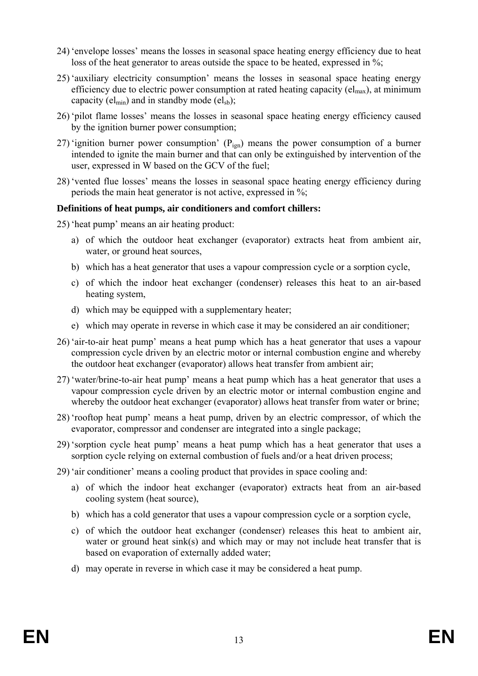- 24) 'envelope losses' means the losses in seasonal space heating energy efficiency due to heat loss of the heat generator to areas outside the space to be heated, expressed in %;
- 25) 'auxiliary electricity consumption' means the losses in seasonal space heating energy efficiency due to electric power consumption at rated heating capacity ( $el_{max}$ ), at minimum capacity ( $el_{min}$ ) and in standby mode ( $el_{sb}$ );
- 26) 'pilot flame losses' means the losses in seasonal space heating energy efficiency caused by the ignition burner power consumption;
- 27) 'ignition burner power consumption'  $(P_{\text{ign}})$  means the power consumption of a burner intended to ignite the main burner and that can only be extinguished by intervention of the user, expressed in W based on the GCV of the fuel;
- 28) 'vented flue losses' means the losses in seasonal space heating energy efficiency during periods the main heat generator is not active, expressed in %;

### **Definitions of heat pumps, air conditioners and comfort chillers:**

- 25) 'heat pump' means an air heating product:
	- a) of which the outdoor heat exchanger (evaporator) extracts heat from ambient air, water, or ground heat sources.
	- b) which has a heat generator that uses a vapour compression cycle or a sorption cycle,
	- c) of which the indoor heat exchanger (condenser) releases this heat to an air-based heating system,
	- d) which may be equipped with a supplementary heater;
	- e) which may operate in reverse in which case it may be considered an air conditioner;
- 26) 'air-to-air heat pump' means a heat pump which has a heat generator that uses a vapour compression cycle driven by an electric motor or internal combustion engine and whereby the outdoor heat exchanger (evaporator) allows heat transfer from ambient air;
- 27) 'water/brine-to-air heat pump' means a heat pump which has a heat generator that uses a vapour compression cycle driven by an electric motor or internal combustion engine and whereby the outdoor heat exchanger (evaporator) allows heat transfer from water or brine;
- 28) 'rooftop heat pump' means a heat pump, driven by an electric compressor, of which the evaporator, compressor and condenser are integrated into a single package;
- 29) 'sorption cycle heat pump' means a heat pump which has a heat generator that uses a sorption cycle relying on external combustion of fuels and/or a heat driven process;
- 29) 'air conditioner' means a cooling product that provides in space cooling and:
	- a) of which the indoor heat exchanger (evaporator) extracts heat from an air-based cooling system (heat source),
	- b) which has a cold generator that uses a vapour compression cycle or a sorption cycle,
	- c) of which the outdoor heat exchanger (condenser) releases this heat to ambient air, water or ground heat sink(s) and which may or may not include heat transfer that is based on evaporation of externally added water;
	- d) may operate in reverse in which case it may be considered a heat pump.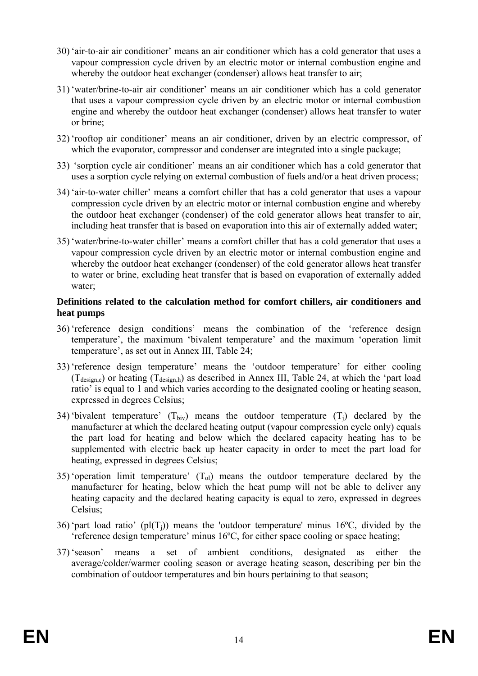- 30) 'air-to-air air conditioner' means an air conditioner which has a cold generator that uses a vapour compression cycle driven by an electric motor or internal combustion engine and whereby the outdoor heat exchanger (condenser) allows heat transfer to air;
- 31) 'water/brine-to-air air conditioner' means an air conditioner which has a cold generator that uses a vapour compression cycle driven by an electric motor or internal combustion engine and whereby the outdoor heat exchanger (condenser) allows heat transfer to water or brine;
- 32) 'rooftop air conditioner' means an air conditioner, driven by an electric compressor, of which the evaporator, compressor and condenser are integrated into a single package;
- 33) 'sorption cycle air conditioner' means an air conditioner which has a cold generator that uses a sorption cycle relying on external combustion of fuels and/or a heat driven process;
- 34) 'air-to-water chiller' means a comfort chiller that has a cold generator that uses a vapour compression cycle driven by an electric motor or internal combustion engine and whereby the outdoor heat exchanger (condenser) of the cold generator allows heat transfer to air, including heat transfer that is based on evaporation into this air of externally added water;
- 35) 'water/brine-to-water chiller' means a comfort chiller that has a cold generator that uses a vapour compression cycle driven by an electric motor or internal combustion engine and whereby the outdoor heat exchanger (condenser) of the cold generator allows heat transfer to water or brine, excluding heat transfer that is based on evaporation of externally added water;

### **Definitions related to the calculation method for comfort chillers, air conditioners and heat pumps**

- 36) 'reference design conditions' means the combination of the 'reference design temperature', the maximum 'bivalent temperature' and the maximum 'operation limit temperature', as set out in Annex III, Table 24;
- 33) 'reference design temperature' means the 'outdoor temperature' for either cooling  $(T_{\text{design.c}})$  or heating  $(T_{\text{design.h}})$  as described in Annex III, Table 24, at which the 'part load ratio' is equal to 1 and which varies according to the designated cooling or heating season, expressed in degrees Celsius;
- 34) 'bivalent temperature'  $(T_{\text{biv}})$  means the outdoor temperature  $(T_i)$  declared by the manufacturer at which the declared heating output (vapour compression cycle only) equals the part load for heating and below which the declared capacity heating has to be supplemented with electric back up heater capacity in order to meet the part load for heating, expressed in degrees Celsius;
- 35) 'operation limit temperature'  $(T<sub>ol</sub>)$  means the outdoor temperature declared by the manufacturer for heating, below which the heat pump will not be able to deliver any heating capacity and the declared heating capacity is equal to zero, expressed in degrees Celsius;
- 36) 'part load ratio' (pl $(T_i)$ ) means the 'outdoor temperature' minus 16<sup>o</sup>C, divided by the 'reference design temperature' minus 16ºC, for either space cooling or space heating;
- 37) 'season' means a set of ambient conditions, designated as either the average/colder/warmer cooling season or average heating season, describing per bin the combination of outdoor temperatures and bin hours pertaining to that season;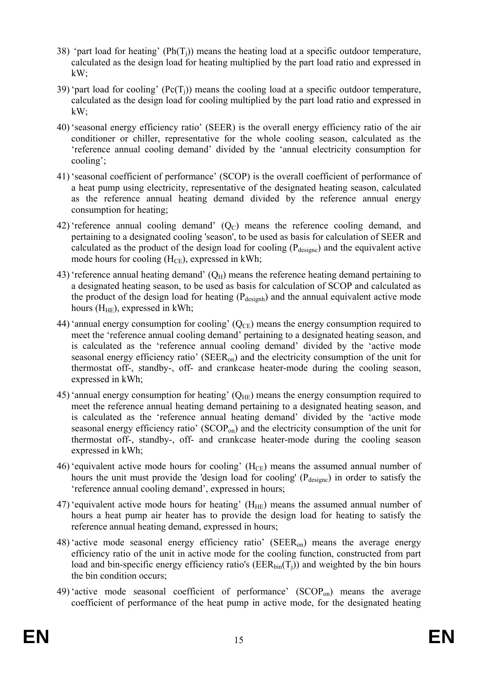- 38) 'part load for heating' ( $Ph(T<sub>i</sub>)$ ) means the heating load at a specific outdoor temperature, calculated as the design load for heating multiplied by the part load ratio and expressed in kW;
- 39) 'part load for cooling'  $(Pe(T_i))$  means the cooling load at a specific outdoor temperature, calculated as the design load for cooling multiplied by the part load ratio and expressed in kW;
- 40) 'seasonal energy efficiency ratio' (SEER) is the overall energy efficiency ratio of the air conditioner or chiller, representative for the whole cooling season, calculated as the 'reference annual cooling demand' divided by the 'annual electricity consumption for cooling';
- 41) 'seasonal coefficient of performance' (SCOP) is the overall coefficient of performance of a heat pump using electricity, representative of the designated heating season, calculated as the reference annual heating demand divided by the reference annual energy consumption for heating;
- 42) 'reference annual cooling demand'  $(Q<sub>C</sub>)$  means the reference cooling demand, and pertaining to a designated cooling 'season', to be used as basis for calculation of SEER and calculated as the product of the design load for cooling  $(P_{\text{desiene}})$  and the equivalent active mode hours for cooling  $(H_{CE})$ , expressed in kWh;
- 43) 'reference annual heating demand'  $(Q_H)$  means the reference heating demand pertaining to a designated heating season, to be used as basis for calculation of SCOP and calculated as the product of the design load for heating  $(P_{\text{desionh}})$  and the annual equivalent active mode hours  $(H_{HE})$ , expressed in kWh;
- 44) 'annual energy consumption for cooling'  $(Q_{CE})$  means the energy consumption required to meet the 'reference annual cooling demand' pertaining to a designated heating season, and is calculated as the 'reference annual cooling demand' divided by the 'active mode seasonal energy efficiency ratio' (SEERon) and the electricity consumption of the unit for thermostat off-, standby-, off- and crankcase heater-mode during the cooling season, expressed in kWh;
- 45) 'annual energy consumption for heating'  $(Q_{HE})$  means the energy consumption required to meet the reference annual heating demand pertaining to a designated heating season, and is calculated as the 'reference annual heating demand' divided by the 'active mode seasonal energy efficiency ratio'  $(SCOP<sub>on</sub>)$  and the electricity consumption of the unit for thermostat off-, standby-, off- and crankcase heater-mode during the cooling season expressed in kWh;
- 46) 'equivalent active mode hours for cooling'  $(H_{CE})$  means the assumed annual number of hours the unit must provide the 'design load for cooling' ( $P_{\text{design}}$ ) in order to satisfy the 'reference annual cooling demand', expressed in hours;
- 47) 'equivalent active mode hours for heating'  $(H_{HE})$  means the assumed annual number of hours a heat pump air heater has to provide the design load for heating to satisfy the reference annual heating demand, expressed in hours;
- 48) 'active mode seasonal energy efficiency ratio' (SEERon) means the average energy efficiency ratio of the unit in active mode for the cooling function, constructed from part load and bin-specific energy efficiency ratio's ( $EER_{bin}(T_i)$ ) and weighted by the bin hours the bin condition occurs;
- 49) 'active mode seasonal coefficient of performance'  $(SCOP<sub>on</sub>)$  means the average coefficient of performance of the heat pump in active mode, for the designated heating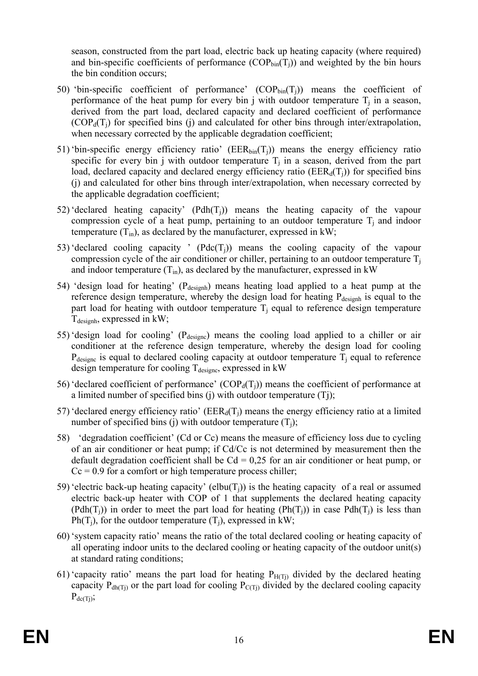season, constructed from the part load, electric back up heating capacity (where required) and bin-specific coefficients of performance  $(COP_{bin}(T_i))$  and weighted by the bin hours the bin condition occurs;

- 50) 'bin-specific coefficient of performance'  $(COP_{bin}(T_i))$  means the coefficient of performance of the heat pump for every bin j with outdoor temperature  $T_i$  in a season, derived from the part load, declared capacity and declared coefficient of performance  $(COP<sub>d</sub>(T<sub>i</sub>)$  for specified bins (j) and calculated for other bins through inter/extrapolation, when necessary corrected by the applicable degradation coefficient;
- 51) 'bin-specific energy efficiency ratio' ( $EER_{bin}(T_i)$ ) means the energy efficiency ratio specific for every bin j with outdoor temperature  $T_i$  in a season, derived from the part load, declared capacity and declared energy efficiency ratio ( $EER_d(T_i)$ ) for specified bins (j) and calculated for other bins through inter/extrapolation, when necessary corrected by the applicable degradation coefficient;
- 52) 'declared heating capacity'  $(Pdh(T_i))$  means the heating capacity of the vapour compression cycle of a heat pump, pertaining to an outdoor temperature  $T_i$  and indoor temperature  $(T_{in})$ , as declared by the manufacturer, expressed in kW;
- 53) 'declared cooling capacity '  $(Pdc(T_i))$  means the cooling capacity of the vapour compression cycle of the air conditioner or chiller, pertaining to an outdoor temperature  $T_i$ and indoor temperature  $(T_{in})$ , as declared by the manufacturer, expressed in kW
- 54) 'design load for heating' (P<sub>designh</sub>) means heating load applied to a heat pump at the reference design temperature, whereby the design load for heating P<sub>designh</sub> is equal to the part load for heating with outdoor temperature  $T_i$  equal to reference design temperature  $T_{\text{desionh}}$ , expressed in kW;
- 55) design load for cooling' ( $P_{\text{desiene}}$ ) means the cooling load applied to a chiller or air conditioner at the reference design temperature, whereby the design load for cooling  $P_{\text{designc}}$  is equal to declared cooling capacity at outdoor temperature  $T_i$  equal to reference design temperature for cooling  $T_{\text{designe}}$ , expressed in kW
- 56) 'declared coefficient of performance'  $(COP_d(T_i))$  means the coefficient of performance at a limited number of specified bins (j) with outdoor temperature (Tj);
- 57) 'declared energy efficiency ratio' ( $EER_d(T_i)$ ) means the energy efficiency ratio at a limited number of specified bins (j) with outdoor temperature  $(T_i)$ ;
- 58) 'degradation coefficient' (Cd or Cc) means the measure of efficiency loss due to cycling of an air conditioner or heat pump; if Cd/Cc is not determined by measurement then the default degradation coefficient shall be  $Cd = 0.25$  for an air conditioner or heat pump, or  $Cc = 0.9$  for a comfort or high temperature process chiller;
- 59) 'electric back-up heating capacity' (elbu( $T_i$ )) is the heating capacity of a real or assumed electric back-up heater with COP of 1 that supplements the declared heating capacity  $(Pdh(T_i))$  in order to meet the part load for heating  $(Ph(T_i))$  in case Pdh(T<sub>i</sub>) is less than Ph(T<sub>i</sub>), for the outdoor temperature (T<sub>i</sub>), expressed in kW;
- 60) 'system capacity ratio' means the ratio of the total declared cooling or heating capacity of all operating indoor units to the declared cooling or heating capacity of the outdoor unit(s) at standard rating conditions;
- 61) 'capacity ratio' means the part load for heating  $P_{H(Ti)}$  divided by the declared heating capacity  $P_{dh(Ti)}$  or the part load for cooling  $P_{C(Ti)}$  divided by the declared cooling capacity  $P_{dc(Ti)}$ ;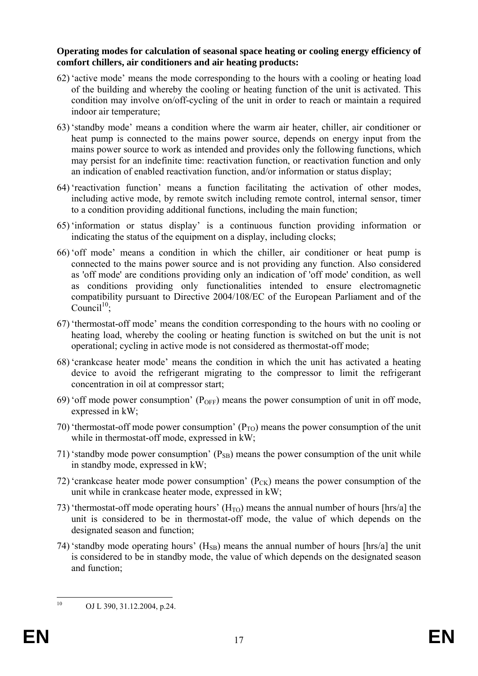### **Operating modes for calculation of seasonal space heating or cooling energy efficiency of comfort chillers, air conditioners and air heating products:**

- 62) 'active mode' means the mode corresponding to the hours with a cooling or heating load of the building and whereby the cooling or heating function of the unit is activated. This condition may involve on/off-cycling of the unit in order to reach or maintain a required indoor air temperature;
- 63) 'standby mode' means a condition where the warm air heater, chiller, air conditioner or heat pump is connected to the mains power source, depends on energy input from the mains power source to work as intended and provides only the following functions, which may persist for an indefinite time: reactivation function, or reactivation function and only an indication of enabled reactivation function, and/or information or status display;
- 64) 'reactivation function' means a function facilitating the activation of other modes, including active mode, by remote switch including remote control, internal sensor, timer to a condition providing additional functions, including the main function;
- 65) 'information or status display' is a continuous function providing information or indicating the status of the equipment on a display, including clocks;
- 66) 'off mode' means a condition in which the chiller, air conditioner or heat pump is connected to the mains power source and is not providing any function. Also considered as 'off mode' are conditions providing only an indication of 'off mode' condition, as well as conditions providing only functionalities intended to ensure electromagnetic compatibility pursuant to Directive 2004/108/EC of the European Parliament and of the  $Count^{10}$ :
- 67) 'thermostat-off mode' means the condition corresponding to the hours with no cooling or heating load, whereby the cooling or heating function is switched on but the unit is not operational; cycling in active mode is not considered as thermostat-off mode;
- 68) 'crankcase heater mode' means the condition in which the unit has activated a heating device to avoid the refrigerant migrating to the compressor to limit the refrigerant concentration in oil at compressor start;
- 69) 'off mode power consumption'  $(P_{OFF})$  means the power consumption of unit in off mode, expressed in kW;
- 70) 'thermostat-off mode power consumption'  $(P_{TO})$  means the power consumption of the unit while in thermostat-off mode, expressed in kW;
- 71) 'standby mode power consumption'  $(P_{SB})$  means the power consumption of the unit while in standby mode, expressed in kW;
- 72) 'crankcase heater mode power consumption'  $(P_{CK})$  means the power consumption of the unit while in crankcase heater mode, expressed in kW;
- 73) 'thermostat-off mode operating hours'  $(H<sub>TO</sub>)$  means the annual number of hours [hrs/a] the unit is considered to be in thermostat-off mode, the value of which depends on the designated season and function;
- 74) 'standby mode operating hours'  $(H_{SB})$  means the annual number of hours [hrs/a] the unit is considered to be in standby mode, the value of which depends on the designated season and function;

 $10$ 

OJ L 390, 31.12.2004, p.24.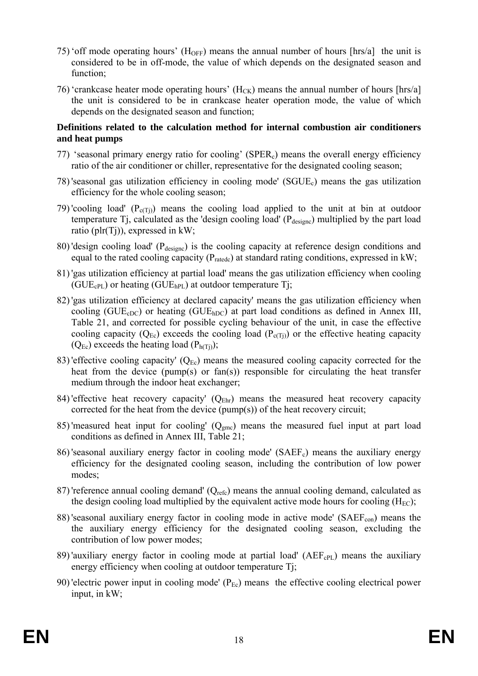- 75) 'off mode operating hours' ( $H_{\text{OFF}}$ ) means the annual number of hours [hrs/a] the unit is considered to be in off-mode, the value of which depends on the designated season and function;
- 76) 'crankcase heater mode operating hours' ( $H_{CK}$ ) means the annual number of hours [hrs/a] the unit is considered to be in crankcase heater operation mode, the value of which depends on the designated season and function;

### **Definitions related to the calculation method for internal combustion air conditioners and heat pumps**

- 77) 'seasonal primary energy ratio for cooling' (SPERc) means the overall energy efficiency ratio of the air conditioner or chiller, representative for the designated cooling season;
- 78) 'seasonal gas utilization efficiency in cooling mode' (SGUEc) means the gas utilization efficiency for the whole cooling season;
- 79) 'cooling load'  $(P_{c(Ti)})$  means the cooling load applied to the unit at bin at outdoor temperature Tj, calculated as the 'design cooling load' ( $P_{\text{designc}}$ ) multiplied by the part load ratio (plr(Tj)), expressed in kW;
- 80) 'design cooling load' (P<sub>designc</sub>) is the cooling capacity at reference design conditions and equal to the rated cooling capacity ( $P_{\text{ratedc}}$ ) at standard rating conditions, expressed in kW;
- 81) 'gas utilization efficiency at partial load' means the gas utilization efficiency when cooling  $(GUE_{cPL})$  or heating  $(GUE_{hPL})$  at outdoor temperature Tj;
- 82) 'gas utilization efficiency at declared capacity' means the gas utilization efficiency when cooling ( $GUE<sub>cDC</sub>$ ) or heating ( $GUE<sub>hDC</sub>$ ) at part load conditions as defined in Annex III, Table 21, and corrected for possible cycling behaviour of the unit, in case the effective cooling capacity  $(Q_{Ec})$  exceeds the cooling load  $(P_{c(Ti)})$  or the effective heating capacity  $(Q_{Ec})$  exceeds the heating load  $(P_{h(Ti)})$ ;
- 83) 'effective cooling capacity'  $(Q_{Ec})$  means the measured cooling capacity corrected for the heat from the device (pump(s) or fan(s)) responsible for circulating the heat transfer medium through the indoor heat exchanger;
- 84) 'effective heat recovery capacity'  $(Q_{Ehr})$  means the measured heat recovery capacity corrected for the heat from the device (pump(s)) of the heat recovery circuit;
- 85) 'measured heat input for cooling'  $(Q_{\text{gmc}})$  means the measured fuel input at part load conditions as defined in Annex III, Table 21;
- 86) seasonal auxiliary energy factor in cooling mode' (SAEF<sub>c</sub>) means the auxiliary energy efficiency for the designated cooling season, including the contribution of low power modes;
- 87) 'reference annual cooling demand' (Q<sub>refc</sub>) means the annual cooling demand, calculated as the design cooling load multiplied by the equivalent active mode hours for cooling  $(H_{EC})$ ;
- 88) 'seasonal auxiliary energy factor in cooling mode in active mode' ( $SAEF_{con}$ ) means the the auxiliary energy efficiency for the designated cooling season, excluding the contribution of low power modes;
- 89) 'auxiliary energy factor in cooling mode at partial load' (AEF<sub>cPL</sub>) means the auxiliary energy efficiency when cooling at outdoor temperature Ti;
- 90) 'electric power input in cooling mode'  $(P_{Ec})$  means the effective cooling electrical power input, in kW;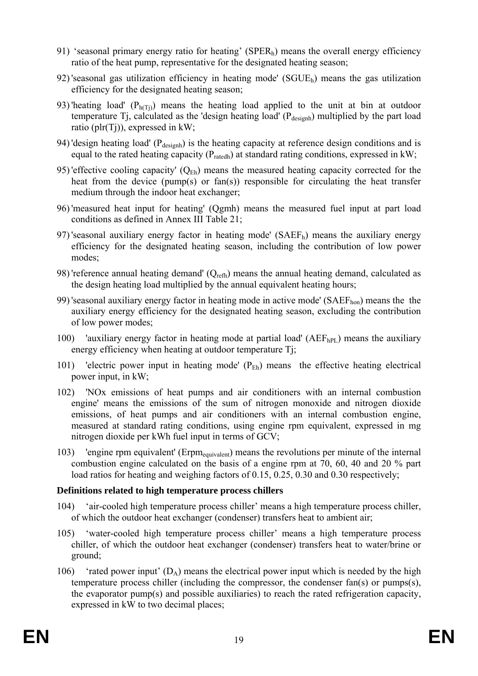- 91) 'seasonal primary energy ratio for heating' (SPERh) means the overall energy efficiency ratio of the heat pump, representative for the designated heating season;
- 92) 'seasonal gas utilization efficiency in heating mode' (SGUEh) means the gas utilization efficiency for the designated heating season;
- 93) 'heating load'  $(P<sub>h(Ti)</sub>)$  means the heating load applied to the unit at bin at outdoor temperature Tj, calculated as the 'design heating load' ( $P_{\text{desient}}$ ) multiplied by the part load ratio (plr(Tj)), expressed in kW;
- 94) 'design heating load' ( $P_{\text{desigh}}$ ) is the heating capacity at reference design conditions and is equal to the rated heating capacity ( $P_{\text{ratedh}}$ ) at standard rating conditions, expressed in kW;
- 95) 'effective cooling capacity'  $(Q_{Eh})$  means the measured heating capacity corrected for the heat from the device (pump(s) or fan(s)) responsible for circulating the heat transfer medium through the indoor heat exchanger;
- 96) 'measured heat input for heating' (Qgmh) means the measured fuel input at part load conditions as defined in Annex III Table 21;
- 97) 'seasonal auxiliary energy factor in heating mode' ( $SAEF<sub>b</sub>$ ) means the auxiliary energy efficiency for the designated heating season, including the contribution of low power modes;
- 98) 'reference annual heating demand'  $(Q_{refh})$  means the annual heating demand, calculated as the design heating load multiplied by the annual equivalent heating hours;
- 99) 'seasonal auxiliary energy factor in heating mode in active mode' (SAEFhon) means the the auxiliary energy efficiency for the designated heating season, excluding the contribution of low power modes;
- 100) 'auxiliary energy factor in heating mode at partial load' ( $AEF<sub>hPL</sub>$ ) means the auxiliary energy efficiency when heating at outdoor temperature Tj;
- 101) 'electric power input in heating mode'  $(P_{Eh})$  means the effective heating electrical power input, in kW;
- 102) 'NOx emissions of heat pumps and air conditioners with an internal combustion engine' means the emissions of the sum of nitrogen monoxide and nitrogen dioxide emissions, of heat pumps and air conditioners with an internal combustion engine, measured at standard rating conditions, using engine rpm equivalent, expressed in mg nitrogen dioxide per kWh fuel input in terms of GCV;
- 103) 'engine rpm equivalent' (Erpmequivalent) means the revolutions per minute of the internal combustion engine calculated on the basis of a engine rpm at 70, 60, 40 and 20 % part load ratios for heating and weighing factors of 0.15, 0.25, 0.30 and 0.30 respectively;

### **Definitions related to high temperature process chillers**

- 104) 'air-cooled high temperature process chiller' means a high temperature process chiller, of which the outdoor heat exchanger (condenser) transfers heat to ambient air;
- 105) 'water-cooled high temperature process chiller' means a high temperature process chiller, of which the outdoor heat exchanger (condenser) transfers heat to water/brine or ground;
- 106) 'rated power input'  $(D_A)$  means the electrical power input which is needed by the high temperature process chiller (including the compressor, the condenser fan(s) or pumps(s), the evaporator pump(s) and possible auxiliaries) to reach the rated refrigeration capacity, expressed in kW to two decimal places;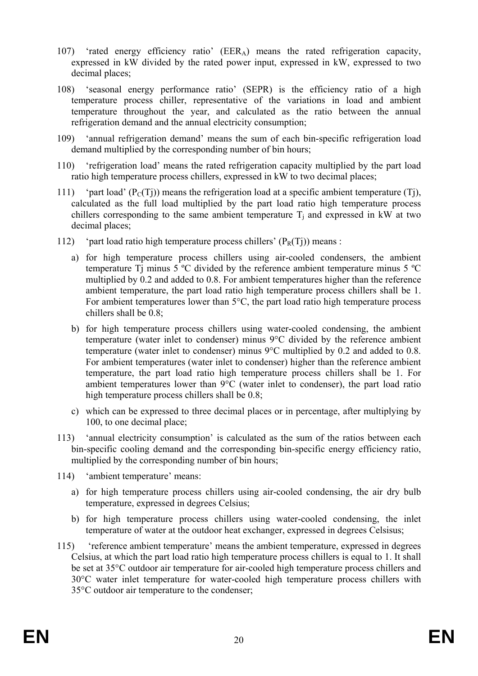- 107) 'rated energy efficiency ratio' (EERA) means the rated refrigeration capacity, expressed in kW divided by the rated power input, expressed in kW, expressed to two decimal places;
- 108) 'seasonal energy performance ratio' (SEPR) is the efficiency ratio of a high temperature process chiller, representative of the variations in load and ambient temperature throughout the year, and calculated as the ratio between the annual refrigeration demand and the annual electricity consumption;
- 109) 'annual refrigeration demand' means the sum of each bin-specific refrigeration load demand multiplied by the corresponding number of bin hours;
- 110) 'refrigeration load' means the rated refrigeration capacity multiplied by the part load ratio high temperature process chillers, expressed in kW to two decimal places;
- 111) 'part load'  $(P<sub>C</sub>(T<sub>i</sub>))$  means the refrigeration load at a specific ambient temperature (Ti), calculated as the full load multiplied by the part load ratio high temperature process chillers corresponding to the same ambient temperature  $T_i$  and expressed in kW at two decimal places;
- 112) 'part load ratio high temperature process chillers'  $(P_R(T_i))$  means :
	- a) for high temperature process chillers using air-cooled condensers, the ambient temperature Ti minus 5  $\degree$ C divided by the reference ambient temperature minus 5  $\degree$ C multiplied by 0.2 and added to 0.8. For ambient temperatures higher than the reference ambient temperature, the part load ratio high temperature process chillers shall be 1. For ambient temperatures lower than 5°C, the part load ratio high temperature process chillers shall be 0.8;
	- b) for high temperature process chillers using water-cooled condensing, the ambient temperature (water inlet to condenser) minus 9°C divided by the reference ambient temperature (water inlet to condenser) minus 9°C multiplied by 0.2 and added to 0.8. For ambient temperatures (water inlet to condenser) higher than the reference ambient temperature, the part load ratio high temperature process chillers shall be 1. For ambient temperatures lower than 9°C (water inlet to condenser), the part load ratio high temperature process chillers shall be  $0.8$ ;
	- c) which can be expressed to three decimal places or in percentage, after multiplying by 100, to one decimal place;
- 113) 'annual electricity consumption' is calculated as the sum of the ratios between each bin-specific cooling demand and the corresponding bin-specific energy efficiency ratio, multiplied by the corresponding number of bin hours;
- 114) 'ambient temperature' means:
	- a) for high temperature process chillers using air-cooled condensing, the air dry bulb temperature, expressed in degrees Celsius;
	- b) for high temperature process chillers using water-cooled condensing, the inlet temperature of water at the outdoor heat exchanger, expressed in degrees Celsisus;
- 115) 'reference ambient temperature' means the ambient temperature, expressed in degrees Celsius, at which the part load ratio high temperature process chillers is equal to 1. It shall be set at 35°C outdoor air temperature for air-cooled high temperature process chillers and 30°C water inlet temperature for water-cooled high temperature process chillers with 35°C outdoor air temperature to the condenser;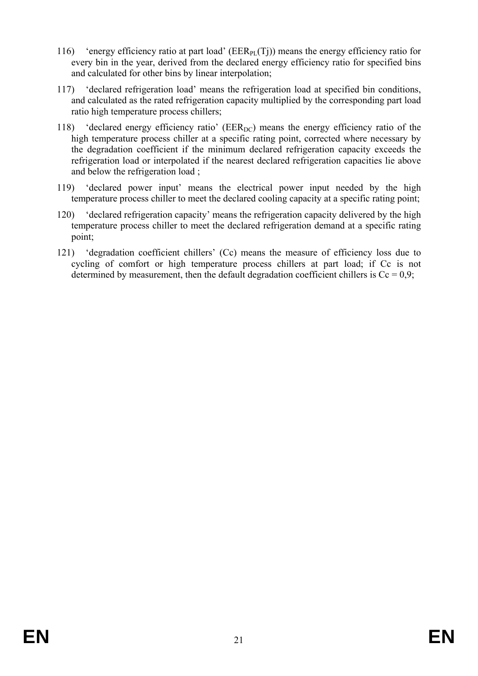- 116) 'energy efficiency ratio at part load' ( $EER_{PI}(T_i)$ ) means the energy efficiency ratio for every bin in the year, derived from the declared energy efficiency ratio for specified bins and calculated for other bins by linear interpolation;
- 117) 'declared refrigeration load' means the refrigeration load at specified bin conditions, and calculated as the rated refrigeration capacity multiplied by the corresponding part load ratio high temperature process chillers;
- 118) 'declared energy efficiency ratio' ( $EER_{DC}$ ) means the energy efficiency ratio of the high temperature process chiller at a specific rating point, corrected where necessary by the degradation coefficient if the minimum declared refrigeration capacity exceeds the refrigeration load or interpolated if the nearest declared refrigeration capacities lie above and below the refrigeration load ;
- 119) 'declared power input' means the electrical power input needed by the high temperature process chiller to meet the declared cooling capacity at a specific rating point;
- 120) 'declared refrigeration capacity' means the refrigeration capacity delivered by the high temperature process chiller to meet the declared refrigeration demand at a specific rating point;
- 121) 'degradation coefficient chillers' (Cc) means the measure of efficiency loss due to cycling of comfort or high temperature process chillers at part load; if Cc is not determined by measurement, then the default degradation coefficient chillers is  $Cc = 0.9$ ;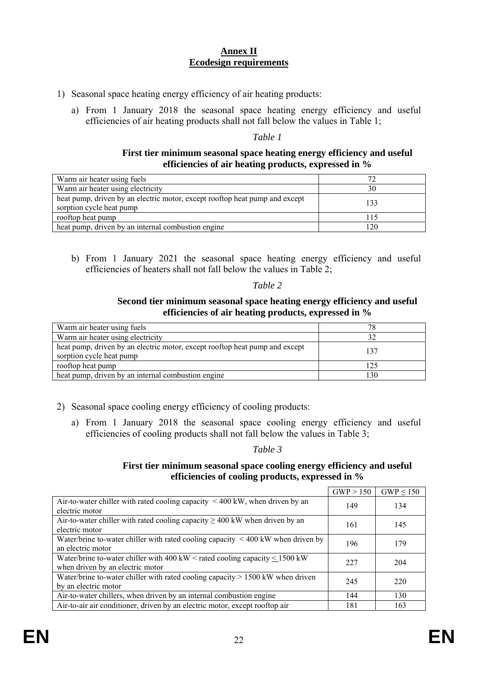### **Annex II Ecodesign requirements**

- 1) Seasonal space heating energy efficiency of air heating products:
	- a) From 1 January 2018 the seasonal space heating energy efficiency and useful efficiencies of air heating products shall not fall below the values in Table 1;

*Table 1* 

#### **First tier minimum seasonal space heating energy efficiency and useful efficiencies of air heating products, expressed in %**

| Warm air heater using fuels                                                                             |     |
|---------------------------------------------------------------------------------------------------------|-----|
| Warm air heater using electricity                                                                       | 30  |
| heat pump, driven by an electric motor, except rooftop heat pump and except<br>sorption cycle heat pump | 133 |
| rooftop heat pump                                                                                       | 115 |
| heat pump, driven by an internal combustion engine                                                      | 120 |

b) From 1 January 2021 the seasonal space heating energy efficiency and useful efficiencies of heaters shall not fall below the values in Table 2;

#### *Table 2*

#### **Second tier minimum seasonal space heating energy efficiency and useful efficiencies of air heating products, expressed in %**

| Warm air heater using fuels                                                                             |     |
|---------------------------------------------------------------------------------------------------------|-----|
| Warm air heater using electricity                                                                       |     |
| heat pump, driven by an electric motor, except rooftop heat pump and except<br>sorption cycle heat pump | 137 |
| rooftop heat pump                                                                                       | 125 |
| heat pump, driven by an internal combustion engine                                                      | 130 |

- 2) Seasonal space cooling energy efficiency of cooling products:
	- a) From 1 January 2018 the seasonal space cooling energy efficiency and useful efficiencies of cooling products shall not fall below the values in Table 3;

*Table 3* 

#### **First tier minimum seasonal space cooling energy efficiency and useful efficiencies of cooling products, expressed in %**

|                                                                                                                      | GWP > 150 | $GWP \leq 150$ |
|----------------------------------------------------------------------------------------------------------------------|-----------|----------------|
| Air-to-water chiller with rated cooling capacity $\leq 400$ kW, when driven by an<br>electric motor                  | 149       | 134            |
| Air-to-water chiller with rated cooling capacity $\geq 400$ kW when driven by an<br>electric motor                   | 161       | 145            |
| Water/brine to-water chiller with rated cooling capacity $\leq 400$ kW when driven by<br>an electric motor           | 196       | 179            |
| Water/brine to-water chiller with 400 kW < rated cooling capacity $\leq$ 1500 kW<br>when driven by an electric motor | 227       | 204            |
| Water/brine to-water chiller with rated cooling capacity $> 1500$ kW when driven<br>by an electric motor             | 245       | 220            |
| Air-to-water chillers, when driven by an internal combustion engine                                                  | 144       | 130            |
| Air-to-air air conditioner, driven by an electric motor, except rooftop air                                          | 181       | 163            |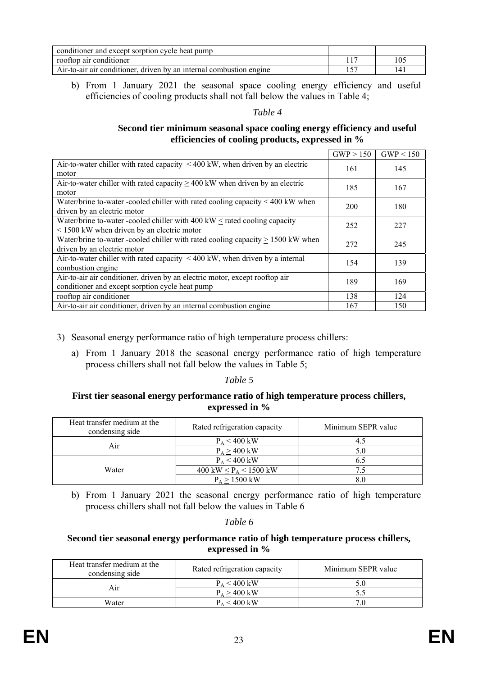| conditioner and except sorption cycle heat pump                     |     |
|---------------------------------------------------------------------|-----|
| rooftop air conditioner                                             | 105 |
| Air-to-air air conditioner, driven by an internal combustion engine | 14. |

b) From 1 January 2021 the seasonal space cooling energy efficiency and useful efficiencies of cooling products shall not fall below the values in Table 4;

#### *Table 4*

### **Second tier minimum seasonal space cooling energy efficiency and useful efficiencies of cooling products, expressed in %**

|                                                                                                                                     | GWP > 150 | GWP < 150 |
|-------------------------------------------------------------------------------------------------------------------------------------|-----------|-----------|
| Air-to-water chiller with rated capacity $\leq 400$ kW, when driven by an electric<br>motor                                         | 161       | 145       |
| Air-to-water chiller with rated capacity $\geq$ 400 kW when driven by an electric<br>motor                                          | 185       | 167       |
| Water/brine to-water -cooled chiller with rated cooling capacity $<$ 400 kW when<br>driven by an electric motor                     | 200       | 180       |
| Water/brine to-water -cooled chiller with $400 \text{ kW}$ < rated cooling capacity<br>$<$ 1500 kW when driven by an electric motor | 252       | 227       |
| Water/brine to-water -cooled chiller with rated cooling capacity $> 1500$ kW when<br>driven by an electric motor                    | 272       | 245       |
| Air-to-water chiller with rated capacity $\langle 400 \text{ kW} \rangle$ , when driven by a internal<br>combustion engine          | 154       | 139       |
| Air-to-air air conditioner, driven by an electric motor, except rooftop air<br>conditioner and except sorption cycle heat pump      | 189       | 169       |
| rooftop air conditioner                                                                                                             | 138       | 124       |
| Air-to-air air conditioner, driven by an internal combustion engine                                                                 | 167       | 150       |

- 3) Seasonal energy performance ratio of high temperature process chillers:
	- a) From 1 January 2018 the seasonal energy performance ratio of high temperature process chillers shall not fall below the values in Table 5;

#### *Table 5*

#### **First tier seasonal energy performance ratio of high temperature process chillers, expressed in %**

| Heat transfer medium at the<br>condensing side | Rated refrigeration capacity                | Minimum SEPR value |
|------------------------------------------------|---------------------------------------------|--------------------|
| Air                                            | $P_A < 400$ kW                              | 4.5                |
|                                                | $P_A > 400$ kW                              | 5.0                |
| Water                                          | $P_A < 400$ kW                              | 6.5                |
|                                                | 400 kW $\leq$ P <sub>A</sub> $\leq$ 1500 kW | 7.5                |
|                                                | $P_A > 1500$ kW                             | 8.0                |

b) From 1 January 2021 the seasonal energy performance ratio of high temperature process chillers shall not fall below the values in Table 6

### *Table 6*

### **Second tier seasonal energy performance ratio of high temperature process chillers, expressed in %**

| Heat transfer medium at the<br>condensing side | Rated refrigeration capacity | Minimum SEPR value |
|------------------------------------------------|------------------------------|--------------------|
| Air                                            | $P_A < 400$ kW               |                    |
|                                                | $P_A > 400$ kW               |                    |
| Water                                          | $P_A < 400$ kW               |                    |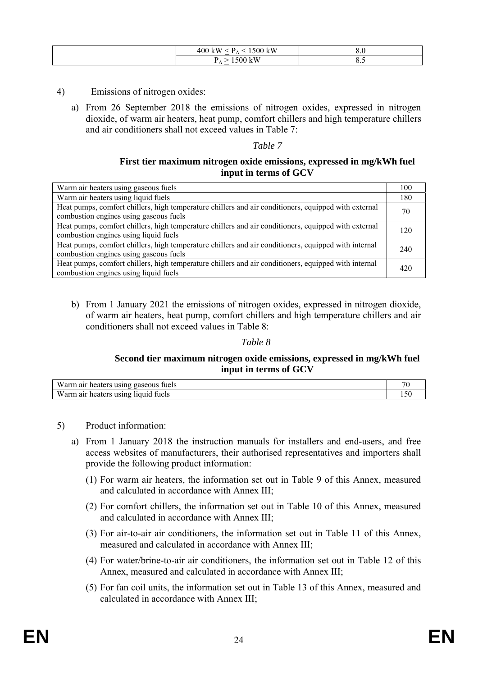| , kW<br>$\Omega$<br>700<br>A<br>ιvν<br>$\sim$ | ึง.∪ |
|-----------------------------------------------|------|
| $-117$<br>A.<br>$\sim$                        | ີ    |

- 4) Emissions of nitrogen oxides:
	- a) From 26 September 2018 the emissions of nitrogen oxides, expressed in nitrogen dioxide, of warm air heaters, heat pump, comfort chillers and high temperature chillers and air conditioners shall not exceed values in Table 7:

#### **First tier maximum nitrogen oxide emissions, expressed in mg/kWh fuel input in terms of GCV**

| Warm air heaters using gaseous fuels                                                                                                           | 100 |
|------------------------------------------------------------------------------------------------------------------------------------------------|-----|
| Warm air heaters using liquid fuels                                                                                                            | 180 |
| Heat pumps, comfort chillers, high temperature chillers and air conditioners, equipped with external<br>combustion engines using gaseous fuels | 70  |
| Heat pumps, comfort chillers, high temperature chillers and air conditioners, equipped with external<br>combustion engines using liquid fuels  | 120 |
| Heat pumps, comfort chillers, high temperature chillers and air conditioners, equipped with internal<br>combustion engines using gaseous fuels | 240 |
| Heat pumps, comfort chillers, high temperature chillers and air conditioners, equipped with internal<br>combustion engines using liquid fuels  | 420 |

b) From 1 January 2021 the emissions of nitrogen oxides, expressed in nitrogen dioxide, of warm air heaters, heat pump, comfort chillers and high temperature chillers and air conditioners shall not exceed values in Table 8:

### *Table 8*

### **Second tier maximum nitrogen oxide emissions, expressed in mg/kWh fuel input in terms of GCV**

| Warm air<br>tuels<br>heaters using gaseous   | $\mathbf{u}$ |
|----------------------------------------------|--------------|
| Warm,<br>r heaters using liquid fuels<br>air |              |

- 5) Product information:
	- a) From 1 January 2018 the instruction manuals for installers and end-users, and free access websites of manufacturers, their authorised representatives and importers shall provide the following product information:
		- (1) For warm air heaters, the information set out in Table 9 of this Annex, measured and calculated in accordance with Annex III;
		- (2) For comfort chillers, the information set out in Table 10 of this Annex, measured and calculated in accordance with Annex III;
		- (3) For air-to-air air conditioners, the information set out in Table 11 of this Annex, measured and calculated in accordance with Annex III;
		- (4) For water/brine-to-air air conditioners, the information set out in Table 12 of this Annex, measured and calculated in accordance with Annex III;
		- (5) For fan coil units, the information set out in Table 13 of this Annex, measured and calculated in accordance with Annex III;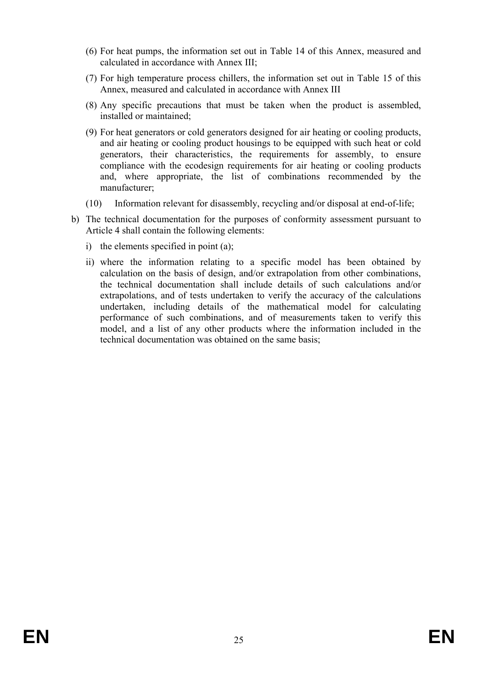- (6) For heat pumps, the information set out in Table 14 of this Annex, measured and calculated in accordance with Annex III;
- (7) For high temperature process chillers, the information set out in Table 15 of this Annex, measured and calculated in accordance with Annex III
- (8) Any specific precautions that must be taken when the product is assembled, installed or maintained;
- (9) For heat generators or cold generators designed for air heating or cooling products, and air heating or cooling product housings to be equipped with such heat or cold generators, their characteristics, the requirements for assembly, to ensure compliance with the ecodesign requirements for air heating or cooling products and, where appropriate, the list of combinations recommended by the manufacturer;
- (10) Information relevant for disassembly, recycling and/or disposal at end-of-life;
- b) The technical documentation for the purposes of conformity assessment pursuant to Article 4 shall contain the following elements:
	- i) the elements specified in point (a);
	- ii) where the information relating to a specific model has been obtained by calculation on the basis of design, and/or extrapolation from other combinations, the technical documentation shall include details of such calculations and/or extrapolations, and of tests undertaken to verify the accuracy of the calculations undertaken, including details of the mathematical model for calculating performance of such combinations, and of measurements taken to verify this model, and a list of any other products where the information included in the technical documentation was obtained on the same basis;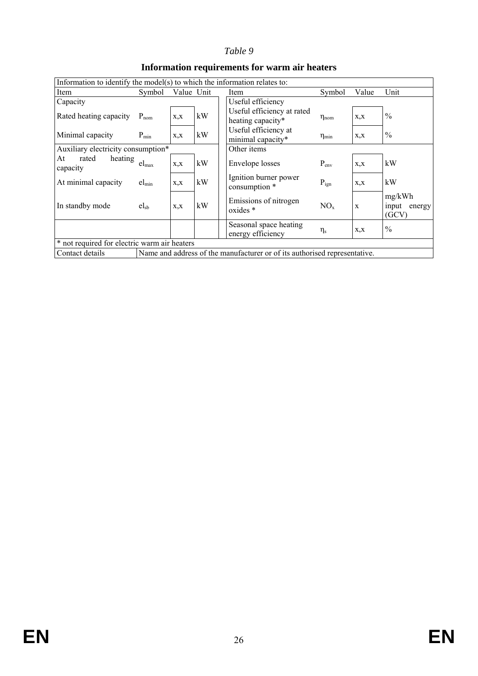| Information to identify the model(s) to which the information relates to: |                         |      |            |                                                                           |                     |             |                                 |
|---------------------------------------------------------------------------|-------------------------|------|------------|---------------------------------------------------------------------------|---------------------|-------------|---------------------------------|
| Item                                                                      | Symbol                  |      | Value Unit | Item                                                                      | Symbol              | Value       | Unit                            |
| Capacity                                                                  |                         |      |            | Useful efficiency                                                         |                     |             |                                 |
| Rated heating capacity                                                    | $P_{nom}$               | X, X | kW         | Useful efficiency at rated<br>heating capacity*                           | $\eta_{nom}$        | X, X        | $\frac{0}{0}$                   |
| Minimal capacity                                                          | $P_{min}$               | X, X | kW         | Useful efficiency at<br>minimal capacity*                                 | $\eta_{\text{min}}$ | X, X        | $\frac{0}{0}$                   |
| Other items<br>Auxiliary electricity consumption*                         |                         |      |            |                                                                           |                     |             |                                 |
| rated<br>heating<br>At<br>capacity                                        | $el_{max}$              | X, X | kW         | Envelope losses                                                           | $P_{env}$           | X, X        | kW                              |
| At minimal capacity                                                       | $el_{\min}$             | X, X | kW         | Ignition burner power<br>consumption *                                    | $P_{ign}$           | X, X        | kW                              |
| In standby mode                                                           | $\text{el}_{\text{sb}}$ | X, X | kW         | Emissions of nitrogen<br>oxides *                                         | NO <sub>x</sub>     | $\mathbf X$ | mg/kWh<br>input energy<br>(GCV) |
|                                                                           |                         |      |            | Seasonal space heating<br>energy efficiency                               | $\eta_{\rm s}$      | X, X        | $\frac{0}{0}$                   |
| * not required for electric warm air heaters                              |                         |      |            |                                                                           |                     |             |                                 |
| Contact details                                                           |                         |      |            | Name and address of the manufacturer or of its authorised representative. |                     |             |                                 |
|                                                                           |                         |      |            |                                                                           |                     |             |                                 |

### **Information requirements for warm air heaters**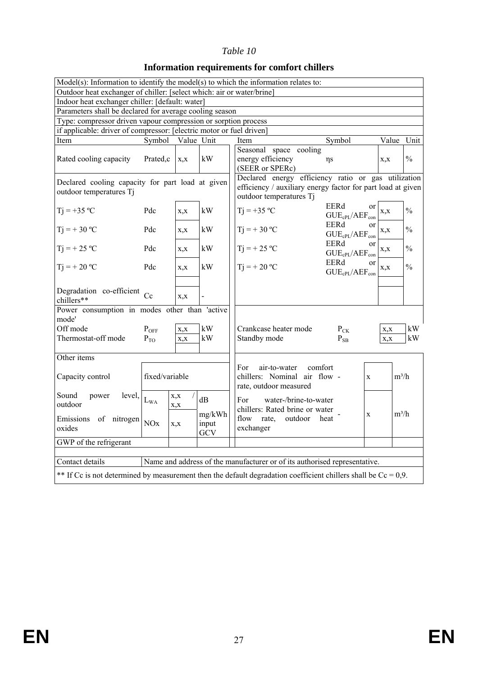### **Information requirements for comfort chillers**

|                                                                       |                                                                                                                   |              |                | $Model(s)$ : Information to identify the model(s) to which the information relates to: |                                            |         |               |
|-----------------------------------------------------------------------|-------------------------------------------------------------------------------------------------------------------|--------------|----------------|----------------------------------------------------------------------------------------|--------------------------------------------|---------|---------------|
| Outdoor heat exchanger of chiller: [select which: air or water/brine] |                                                                                                                   |              |                |                                                                                        |                                            |         |               |
| Indoor heat exchanger chiller: [default: water]                       |                                                                                                                   |              |                |                                                                                        |                                            |         |               |
| Parameters shall be declared for average cooling season               |                                                                                                                   |              |                |                                                                                        |                                            |         |               |
| Type: compressor driven vapour compression or sorption process        |                                                                                                                   |              |                |                                                                                        |                                            |         |               |
| if applicable: driver of compressor: [electric motor or fuel driven]  |                                                                                                                   |              |                |                                                                                        |                                            |         |               |
| Item                                                                  | Symbol                                                                                                            | Value Unit   |                | Item                                                                                   | Symbol                                     | Value   | Unit          |
|                                                                       |                                                                                                                   |              |                | Seasonal space cooling                                                                 |                                            |         |               |
| Rated cooling capacity                                                | Prated,c                                                                                                          | X, X         | kW             | energy efficiency                                                                      | $\eta s$                                   | X, X    | $\frac{0}{0}$ |
|                                                                       |                                                                                                                   |              |                | (SEER or SPERc)                                                                        |                                            |         |               |
| Declared cooling capacity for part load at given                      |                                                                                                                   |              |                | Declared energy efficiency ratio or gas utilization                                    |                                            |         |               |
| outdoor temperatures Tj                                               |                                                                                                                   |              |                | efficiency / auxiliary energy factor for part load at given<br>outdoor temperatures Ti |                                            |         |               |
|                                                                       |                                                                                                                   |              |                |                                                                                        | EERd<br>or                                 |         | $\frac{0}{0}$ |
| $Tj = +35 °C$                                                         | Pdc                                                                                                               | X, X         | kW             | $Tj = +35 °C$                                                                          | $GUE_{cPL}/AEF_{con}$                      | X, X    |               |
| $Tj = +30 °C$                                                         | Pdc                                                                                                               | X, X         | kW             | $Tj = +30 °C$                                                                          | EERd<br><b>or</b>                          | X, X    | $\frac{0}{0}$ |
|                                                                       |                                                                                                                   |              |                |                                                                                        | $GUE_{cPL}/AEF_{con}$                      |         |               |
| $Tj = +25 °C$                                                         | Pdc                                                                                                               | X, X         | kW             | $Tj = +25 °C$                                                                          | EERd<br><b>or</b><br>$GUE_{cPL}/AEF_{con}$ | X, X    | $\frac{0}{0}$ |
|                                                                       |                                                                                                                   |              |                |                                                                                        | EERd<br>or                                 |         |               |
| $Tj = +20 °C$                                                         | Pdc                                                                                                               | X, X         | kW             | $Tj = +20 °C$                                                                          | $GUE_{cPL}/AEF_{con}$                      | X, X    | $\frac{0}{0}$ |
|                                                                       |                                                                                                                   |              |                |                                                                                        |                                            |         |               |
| Degradation co-efficient $_{\rm Cc}$<br>chillers**                    |                                                                                                                   | X, X         | $\overline{a}$ |                                                                                        |                                            |         |               |
| Power consumption in modes other than 'active<br>mode'                |                                                                                                                   |              |                |                                                                                        |                                            |         |               |
| Off mode                                                              | $P_{OFF}$                                                                                                         | X, X         | kW             | Crankcase heater mode                                                                  | $P_{CK}$                                   | X, X    | kW            |
| Thermostat-off mode                                                   | $P_{TO}$                                                                                                          | X, X         | kW             | Standby mode                                                                           | $P_{SB}$                                   | X, X    | kW            |
|                                                                       |                                                                                                                   |              |                |                                                                                        |                                            |         |               |
| Other items                                                           |                                                                                                                   |              |                |                                                                                        |                                            |         |               |
|                                                                       |                                                                                                                   |              |                | comfort<br>air-to-water<br>For                                                         |                                            |         |               |
| Capacity control                                                      | fixed/variable                                                                                                    |              |                | chillers: Nominal air flow -                                                           | $\mathbf{X}$                               | $m^3/h$ |               |
| Sound                                                                 |                                                                                                                   |              |                | rate, outdoor measured                                                                 |                                            |         |               |
| level, $\big _{L_{WA}}$<br>power<br>outdoor                           |                                                                                                                   | X, X<br>X, X | dB             | water-/brine-to-water<br>For                                                           |                                            |         |               |
|                                                                       |                                                                                                                   |              | mg/kWh         | chillers: Rated brine or water                                                         | $\mathbf X$                                | $m^3/h$ |               |
| Emissions<br>of nitrogen                                              | NOx                                                                                                               | X, X         | input          | flow<br>rate,<br>outdoor                                                               | heat                                       |         |               |
| oxides                                                                |                                                                                                                   |              | GCV            | exchanger                                                                              |                                            |         |               |
| GWP of the refrigerant                                                |                                                                                                                   |              |                |                                                                                        |                                            |         |               |
|                                                                       |                                                                                                                   |              |                |                                                                                        |                                            |         |               |
| Contact details                                                       |                                                                                                                   |              |                | Name and address of the manufacturer or of its authorised representative.              |                                            |         |               |
|                                                                       | ** If Cc is not determined by measurement then the default degradation coefficient chillers shall be $Cc = 0.9$ . |              |                |                                                                                        |                                            |         |               |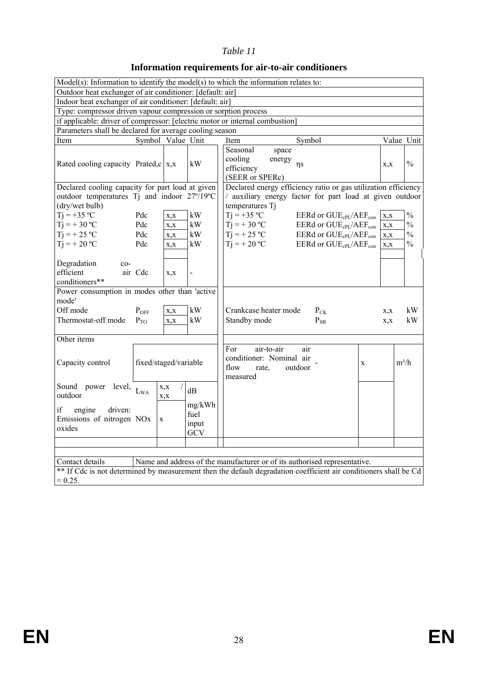### **Information requirements for air-to-air conditioners**

|                                                                                                                   |                       |              |                                | Model(s): Information to identify the model(s) to which the information relates to:                                                           |      |               |
|-------------------------------------------------------------------------------------------------------------------|-----------------------|--------------|--------------------------------|-----------------------------------------------------------------------------------------------------------------------------------------------|------|---------------|
| Outdoor heat exchanger of air conditioner: [default: air]                                                         |                       |              |                                |                                                                                                                                               |      |               |
| Indoor heat exchanger of air conditioner: [default: air]                                                          |                       |              |                                |                                                                                                                                               |      |               |
| Type: compressor driven vapour compression or sorption process                                                    |                       |              |                                |                                                                                                                                               |      |               |
|                                                                                                                   |                       |              |                                | if applicable: driver of compressor: [electric motor or internal combustion]                                                                  |      |               |
| Parameters shall be declared for average cooling season                                                           |                       |              |                                |                                                                                                                                               |      |               |
| Item                                                                                                              | Symbol Value Unit     |              |                                | Symbol<br>Item                                                                                                                                |      | Value Unit    |
| Rated cooling capacity Prated, $c   x, x$                                                                         |                       |              | kW                             | Seasonal<br>space<br>cooling<br>energy<br>$\eta s$<br>efficiency<br>(SEER or SPERc)                                                           | X, X | $\frac{0}{0}$ |
| Declared cooling capacity for part load at given<br>outdoor temperatures Tj and indoor 27°/19°C<br>(dry/wet bulb) |                       |              |                                | Declared energy efficiency ratio or gas utilization efficiency<br>/ auxiliary energy factor for part load at given outdoor<br>temperatures Tj |      |               |
| $Ti = +35 °C$                                                                                                     | Pdc                   | X, X         | kW                             | $Ti = +35 °C$<br>EERd or $GUE_{cPI}/AEF_{con}$                                                                                                | X, X | $\frac{0}{0}$ |
| $Ti = +30 °C$                                                                                                     | Pdc                   | X, X         | kW                             | $Ti = +30 °C$<br>EERd or GUE <sub>cPL</sub> /AEF <sub>con</sub>                                                                               | X, X | $\frac{0}{0}$ |
| $Tj = +25 °C$                                                                                                     | Pdc                   | X, X         | kW                             | $Tj = +25 °C$<br>$\rm EERd$ or $\rm GUE_{cPI}/AEF_{con}$                                                                                      | X, X | $\frac{0}{0}$ |
| $Tj = +20 °C$                                                                                                     | Pdc                   | X, X         | kW                             | $Ti = +20 °C$<br>EERd or GUE <sub>cPL</sub> /AEF <sub>con</sub>                                                                               | X.X  | $\frac{0}{0}$ |
| Degradation<br>$co-$<br>efficient<br>conditioners**                                                               | air Cdc               | X, X         | $\overline{\phantom{0}}$       |                                                                                                                                               |      |               |
| Power consumption in modes other than 'active<br>mode'                                                            |                       |              |                                |                                                                                                                                               |      |               |
| Off mode                                                                                                          | $P_{OFF}$             | X, X         | kW                             | Crankcase heater mode<br>$P_{CK}$                                                                                                             | X, X | kW            |
| Thermostat-off mode                                                                                               | $P_{TO}$              | X, X         | kW                             | Standby mode<br>$P_{SB}$                                                                                                                      | X, X | kW            |
|                                                                                                                   |                       |              |                                |                                                                                                                                               |      |               |
| Other items                                                                                                       |                       |              |                                |                                                                                                                                               |      |               |
| Capacity control                                                                                                  | fixed/staged/variable |              |                                | air-to-air<br>For<br>air<br>conditioner: Nominal air<br>X<br>flow<br>outdoor<br>rate.<br>measured                                             |      | $m^3/h$       |
| Sound power level, L <sub>WA</sub><br>outdoor                                                                     |                       | X, X<br>X, X | dB                             |                                                                                                                                               |      |               |
| if<br>engine<br>driven:<br>Emissions of nitrogen NOx<br>oxides                                                    | $\mathbf X$           |              | mg/kWh<br>fuel<br>input<br>GCV |                                                                                                                                               |      |               |
|                                                                                                                   |                       |              |                                |                                                                                                                                               |      |               |
|                                                                                                                   |                       |              |                                |                                                                                                                                               |      |               |
| Contact details                                                                                                   |                       |              |                                | Name and address of the manufacturer or of its authorised representative.                                                                     |      |               |
|                                                                                                                   |                       |              |                                | ** If Cdc is not determined by measurement then the default degradation coefficient air conditioners shall be Cd                              |      |               |
| $= 0.25.$                                                                                                         |                       |              |                                |                                                                                                                                               |      |               |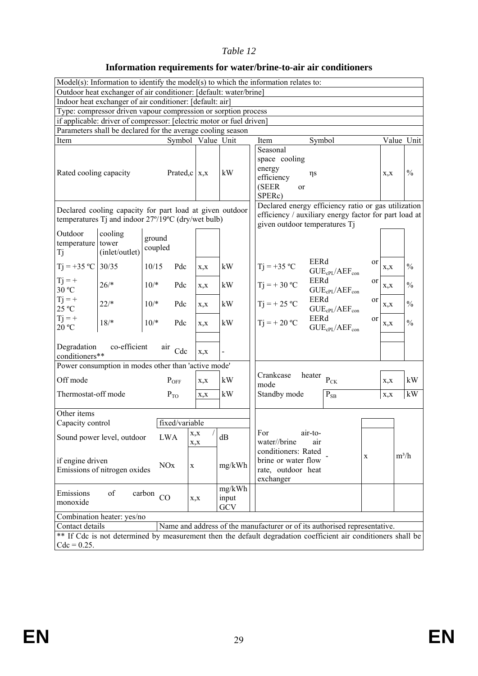### **Information requirements for water/brine-to-air air conditioners**

|                                    | Outdoor heat exchanger of air conditioner: [default: water/brine]                                              |                   |                           |                        | $Model(s)$ : Information to identify the model(s) to which the information relates to:                                                        |                       |               |
|------------------------------------|----------------------------------------------------------------------------------------------------------------|-------------------|---------------------------|------------------------|-----------------------------------------------------------------------------------------------------------------------------------------------|-----------------------|---------------|
|                                    | Indoor heat exchanger of air conditioner: [default: air]                                                       |                   |                           |                        |                                                                                                                                               |                       |               |
|                                    | Type: compressor driven vapour compression or sorption process                                                 |                   |                           |                        |                                                                                                                                               |                       |               |
|                                    | if applicable: driver of compressor: [electric motor or fuel driven]                                           |                   |                           |                        |                                                                                                                                               |                       |               |
|                                    | Parameters shall be declared for the average cooling season                                                    |                   |                           |                        |                                                                                                                                               |                       |               |
| Item                               |                                                                                                                |                   | Symbol Value Unit         |                        | Item<br>Symbol                                                                                                                                |                       | Value Unit    |
|                                    |                                                                                                                |                   |                           |                        | Seasonal                                                                                                                                      |                       |               |
| Rated cooling capacity             |                                                                                                                |                   | Prated, $c \mid x, x$     | kW                     | space cooling<br>energy<br>$\eta s$<br>efficiency<br>(SEER<br>or<br>SPERc)                                                                    | X, X                  | $\frac{0}{0}$ |
|                                    | Declared cooling capacity for part load at given outdoor<br>temperatures Tj and indoor 27°/19°C (dry/wet bulb) |                   |                           |                        | Declared energy efficiency ratio or gas utilization<br>efficiency / auxiliary energy factor for part load at<br>given outdoor temperatures Tj |                       |               |
| Outdoor<br>temperature tower<br>Tj | cooling<br>(inlet/outlet)                                                                                      | ground<br>coupled |                           |                        |                                                                                                                                               |                       |               |
| $Tj = +35 °C$ 30/35                |                                                                                                                | 10/15<br>Pdc      | X, X                      | kW                     | EERd<br>$Tj = +35 °C$<br>$GUE_{cPL}/AEF_{con}$                                                                                                | or<br>X, X            | $\frac{0}{0}$ |
| $Tj = +$<br>30 °C                  | $26/*$                                                                                                         | $10/*$<br>Pdc     | X, X                      | kW                     | EERd<br>$Tj = +30 °C$<br>$GUE_{cPL}/AEF_{con}$                                                                                                | or<br>X, X            | $\frac{0}{0}$ |
| $Tj = +$<br>25 °C                  | $22/*$                                                                                                         | $10/*$<br>Pdc     | X, X                      | kW                     | <b>EERd</b><br>$Tj = +25 °C$<br>$GUE_{cPL}/AEF_{con}$                                                                                         | <sub>or</sub><br>X, X | $\frac{0}{0}$ |
| $Tj = +$<br>20 °C                  | $18/*$                                                                                                         | $10/*$<br>Pdc     | X, X                      | kW                     | EERd<br>$Tj = +20 °C$<br>$GUE_{cPL}/AEF_{con}$                                                                                                | <sub>or</sub><br>X, X | $\frac{0}{0}$ |
| Degradation<br>conditioners**      | co-efficient                                                                                                   | air<br>Cdc        | X, X                      |                        |                                                                                                                                               |                       |               |
|                                    | Power consumption in modes other than 'active mode'                                                            |                   |                           |                        |                                                                                                                                               |                       |               |
| Off mode                           |                                                                                                                | $P_{OFF}$         | X, X                      | kW                     | Crankcase<br>heater<br>$\mathbf{P}_{\text{CK}}$<br>mode                                                                                       | X, X                  | kW            |
| Thermostat-off mode                |                                                                                                                | $P_{TO}$          | X, X                      | kW                     | Standby mode<br>$P_{SB}$                                                                                                                      | X, X                  | kW            |
| Other items                        |                                                                                                                |                   |                           |                        |                                                                                                                                               |                       |               |
| Capacity control                   |                                                                                                                | fixed/variable    |                           |                        |                                                                                                                                               |                       |               |
|                                    | Sound power level, outdoor                                                                                     | <b>LWA</b>        | $\sqrt{ }$<br>x,x<br>X, X | dB                     | For<br>air-to-<br>water//brine<br>air<br>conditioners: Rated                                                                                  |                       |               |
| if engine driven                   | Emissions of nitrogen oxides                                                                                   | <b>NOx</b>        | $\mathbf X$               | mg/kWh                 | $\mathbf X$<br>brine or water flow<br>rate, outdoor heat<br>exchanger                                                                         |                       | $m^3/h$       |
| Emissions<br>monoxide              | of                                                                                                             | carbon<br>CO      | X, X                      | mg/kWh<br>input<br>GCV |                                                                                                                                               |                       |               |
|                                    | Combination heater: yes/no                                                                                     |                   |                           |                        |                                                                                                                                               |                       |               |
| Contact details                    |                                                                                                                |                   |                           |                        | Name and address of the manufacturer or of its authorised representative.                                                                     |                       |               |
| $Cdc = 0.25$ .                     |                                                                                                                |                   |                           |                        | ** If Cdc is not determined by measurement then the default degradation coefficient air conditioners shall be                                 |                       |               |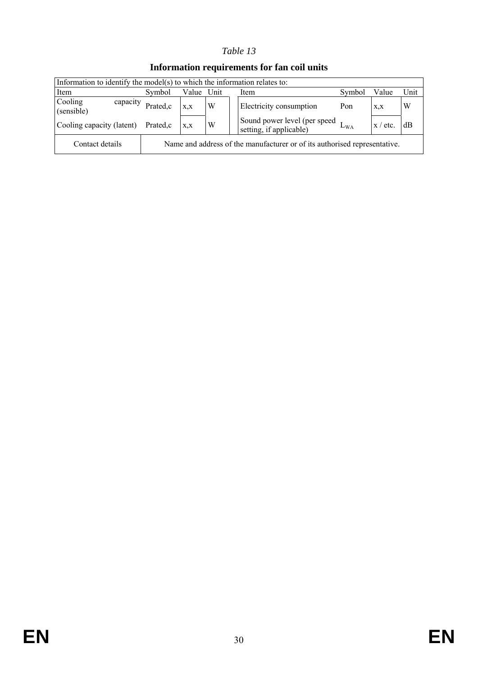| Information to identify the model(s) to which the information relates to: |          |       |      |                                                                           |              |            |      |
|---------------------------------------------------------------------------|----------|-------|------|---------------------------------------------------------------------------|--------------|------------|------|
| Item                                                                      | Symbol   | Value | Unit | Item                                                                      | Symbol       | Value      | Unit |
| Cooling<br>capacity<br>(sensible)                                         | Prated,c | X,X   | W    | Electricity consumption                                                   | Pon          | X, X       | W    |
| Cooling capacity (latent)                                                 | Prated,c | X,X   | W    | Sound power level (per speed $L_1$ )<br>setting, if applicable)           | $L_{\rm WA}$ | $x /$ etc. | dВ   |
| Contact details                                                           |          |       |      | Name and address of the manufacturer or of its authorised representative. |              |            |      |

### **Information requirements for fan coil units**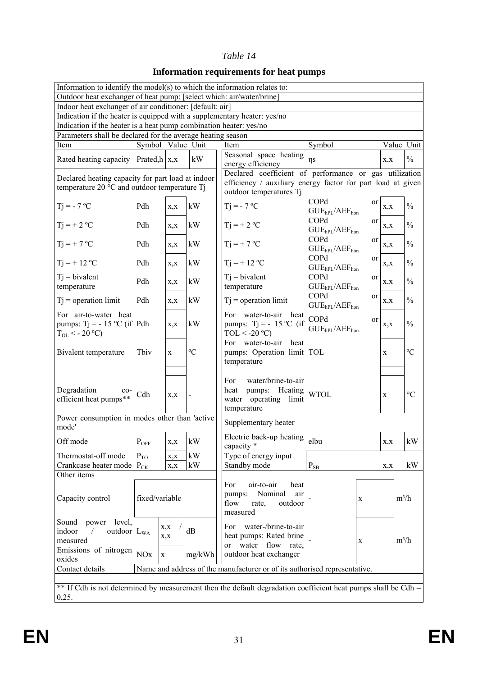# **Information requirements for heat pumps**

| Information to identify the model(s) to which the information relates to:                                                                      |                   |             |             |                                                                                                               |                                                             |               |             |                 |
|------------------------------------------------------------------------------------------------------------------------------------------------|-------------------|-------------|-------------|---------------------------------------------------------------------------------------------------------------|-------------------------------------------------------------|---------------|-------------|-----------------|
| Outdoor heat exchanger of heat pump: [select which: air/water/brine]                                                                           |                   |             |             |                                                                                                               |                                                             |               |             |                 |
| Indoor heat exchanger of air conditioner: [default: air]                                                                                       |                   |             |             |                                                                                                               |                                                             |               |             |                 |
| Indication if the heater is equipped with a supplementary heater: yes/no<br>Indication if the heater is a heat pump combination heater: yes/no |                   |             |             |                                                                                                               |                                                             |               |             |                 |
| Parameters shall be declared for the average heating season                                                                                    |                   |             |             |                                                                                                               |                                                             |               |             |                 |
| Item                                                                                                                                           | Symbol Value Unit |             |             | Item                                                                                                          | Symbol                                                      |               |             | Value Unit      |
|                                                                                                                                                |                   |             |             | Seasonal space heating                                                                                        |                                                             |               |             |                 |
| Rated heating capacity Prated, $\ln  x $ , x                                                                                                   |                   |             | kW          | energy efficiency                                                                                             | $\eta s$                                                    |               | X, X        | $\frac{0}{0}$   |
| Declared heating capacity for part load at indoor                                                                                              |                   |             |             | Declared coefficient of performance or gas utilization                                                        |                                                             |               |             |                 |
| temperature 20 °C and outdoor temperature Ti                                                                                                   |                   |             |             | efficiency / auxiliary energy factor for part load at given<br>outdoor temperatures Tj                        |                                                             |               |             |                 |
|                                                                                                                                                |                   |             |             |                                                                                                               | COPd                                                        | or            |             |                 |
| $Ti = -7 °C$                                                                                                                                   | Pdh               | X, X        | kW          | $Ti = -7 °C$                                                                                                  | GUE <sub>hPL</sub> /AEF <sub>hon</sub>                      |               | X, X        | $\frac{0}{0}$   |
| $Tj = +2$ °C                                                                                                                                   | Pdh               |             | kW          | $Tj = +2$ °C                                                                                                  | COPd                                                        | or            |             | $\frac{0}{0}$   |
|                                                                                                                                                |                   | X, X        |             |                                                                                                               | GUE <sub>hPL</sub> /AEF <sub>hon</sub>                      |               | X, X        |                 |
| $Ti = +7 °C$                                                                                                                                   | Pdh               | X, X        | kW          | $Ti = +7 °C$                                                                                                  | COPd                                                        | or            | X, X        | $\frac{0}{0}$   |
|                                                                                                                                                |                   |             |             |                                                                                                               | GUE <sub>hPL</sub> /AEF <sub>hon</sub><br>COPd              | <sub>or</sub> |             |                 |
| $Ti = + 12 °C$                                                                                                                                 | Pdh               | X, X        | kW          | $Ti = + 12 °C$                                                                                                | GUE <sub>hPL</sub> /AEF <sub>hon</sub>                      |               | X, X        | $\frac{0}{0}$   |
| $Ti = bivalent$                                                                                                                                | Pdh               |             |             | $T$ j = bivalent                                                                                              | <b>COPd</b>                                                 | <sub>or</sub> |             | $\frac{0}{0}$   |
| temperature                                                                                                                                    |                   | X, X        | kW          | temperature                                                                                                   | GUE <sub>hPL</sub> /AEF <sub>hon</sub>                      |               | X, X        |                 |
| $Tj = operation limit$                                                                                                                         | Pdh               | X, X        | kW          | $Tj$ = operation limit                                                                                        | COPd                                                        | <sub>or</sub> | X, X        | $\frac{0}{0}$   |
| For air-to-water heat                                                                                                                          |                   |             |             | For water-to-air heat                                                                                         | GUE <sub>hPL</sub> /AEF <sub>hon</sub>                      |               |             |                 |
| pumps: Tj = $-15$ °C (if Pdh                                                                                                                   |                   | X, X        | kW          | pumps: $Tj = -15 °C$ (if                                                                                      | COPd                                                        | <sub>or</sub> | X, X        | $\frac{0}{0}$   |
| $T_{OL}$ < - 20 °C)                                                                                                                            |                   |             |             | $TOL < -20$ °C)                                                                                               | GUE <sub>hPI</sub> /AEF <sub>hon</sub>                      |               |             |                 |
|                                                                                                                                                |                   |             |             | For water-to-air<br>heat                                                                                      |                                                             |               |             |                 |
| Bivalent temperature                                                                                                                           | Tbiy              | X           | $\rm ^{o}C$ | pumps: Operation limit TOL                                                                                    |                                                             |               | X           | $\rm ^{o}C$     |
|                                                                                                                                                |                   |             |             | temperature                                                                                                   |                                                             |               |             |                 |
|                                                                                                                                                |                   |             |             | water/brine-to-air<br>For                                                                                     |                                                             |               |             |                 |
| Degradation<br>$co-$                                                                                                                           |                   |             |             | pumps: Heating WTOL<br>heat                                                                                   |                                                             |               |             | $\rm ^{\circ}C$ |
| efficient heat pumps**                                                                                                                         | Cdh               | X, X        |             | water operating limit                                                                                         |                                                             |               | $\mathbf X$ |                 |
|                                                                                                                                                |                   |             |             | temperature                                                                                                   |                                                             |               |             |                 |
| Power consumption in modes other than 'active<br>mode'                                                                                         |                   |             |             | Supplementary heater                                                                                          |                                                             |               |             |                 |
|                                                                                                                                                |                   |             |             | Electric back-up heating                                                                                      |                                                             |               |             |                 |
| Off mode                                                                                                                                       | $P_{OFF}$         | X, X        | kW          | capacity *                                                                                                    | elbu                                                        |               | X, X        | kW              |
| Thermostat-off mode                                                                                                                            | $P_{TO}$          | X, X        | kW          | Type of energy input                                                                                          |                                                             |               |             |                 |
| Crankcase heater mode P <sub>CK</sub>                                                                                                          |                   | X, X        | kW          | Standby mode                                                                                                  | $\mathbf{P}_{\underline{\mathbf{S}}\underline{\mathbf{B}}}$ |               | X, X        | kW              |
| Other items                                                                                                                                    |                   |             |             |                                                                                                               |                                                             |               |             |                 |
|                                                                                                                                                |                   |             |             | For<br>air-to-air<br>heat<br>Nominal<br>air<br>pumps:                                                         |                                                             |               |             |                 |
| Capacity control                                                                                                                               | fixed/variable    |             |             | flow<br>outdoor<br>rate,                                                                                      |                                                             | $\mathbf X$   |             | $m^3/h$         |
|                                                                                                                                                |                   |             |             | measured                                                                                                      |                                                             |               |             |                 |
| power level,<br>Sound                                                                                                                          |                   | X, X        |             | water-/brine-to-air<br>For                                                                                    |                                                             |               |             |                 |
| indoor<br>outdoor L <sub>WA</sub>                                                                                                              |                   | X, X        | dB          | heat pumps: Rated brine                                                                                       |                                                             |               |             |                 |
| measured                                                                                                                                       |                   |             |             | or water flow rate,                                                                                           |                                                             | $\mathbf X$   |             | $m^3/h$         |
| Emissions of nitrogen $NOx$<br>oxides                                                                                                          |                   | $\mathbf X$ | mg/kWh      | outdoor heat exchanger                                                                                        |                                                             |               |             |                 |
| Contact details                                                                                                                                |                   |             |             | Name and address of the manufacturer or of its authorised representative.                                     |                                                             |               |             |                 |
|                                                                                                                                                |                   |             |             |                                                                                                               |                                                             |               |             |                 |
|                                                                                                                                                |                   |             |             | ** If Cdh is not determined by measurement then the default degradation coefficient heat pumps shall be Cdh = |                                                             |               |             |                 |
| 0,25.                                                                                                                                          |                   |             |             |                                                                                                               |                                                             |               |             |                 |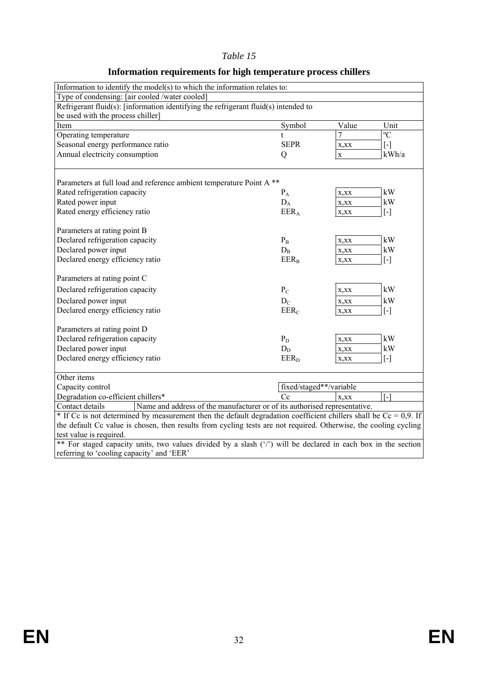| Information to identify the model(s) to which the information relates to:                                           |                         |                                  |                                                                                                                                                                                                                                                                                                       |  |  |
|---------------------------------------------------------------------------------------------------------------------|-------------------------|----------------------------------|-------------------------------------------------------------------------------------------------------------------------------------------------------------------------------------------------------------------------------------------------------------------------------------------------------|--|--|
| Type of condensing: [air cooled /water cooled]                                                                      |                         |                                  |                                                                                                                                                                                                                                                                                                       |  |  |
| Refrigerant fluid(s): [information identifying the refrigerant fluid(s) intended to                                 |                         |                                  |                                                                                                                                                                                                                                                                                                       |  |  |
| be used with the process chiller]                                                                                   |                         |                                  |                                                                                                                                                                                                                                                                                                       |  |  |
| Item                                                                                                                | Symbol                  | Value                            | Unit                                                                                                                                                                                                                                                                                                  |  |  |
| Operating temperature                                                                                               | t                       | $\overline{C}$<br>$\overline{7}$ |                                                                                                                                                                                                                                                                                                       |  |  |
| Seasonal energy performance ratio                                                                                   | <b>SEPR</b>             | X,XX                             | $[\cdot]$                                                                                                                                                                                                                                                                                             |  |  |
| Annual electricity consumption                                                                                      | Q                       | $\mathbf X$                      | kWh/a                                                                                                                                                                                                                                                                                                 |  |  |
|                                                                                                                     |                         |                                  |                                                                                                                                                                                                                                                                                                       |  |  |
| Parameters at full load and reference ambient temperature Point A <sup>**</sup>                                     |                         |                                  |                                                                                                                                                                                                                                                                                                       |  |  |
| Rated refrigeration capacity                                                                                        | $P_A$                   | X,XX                             | kW                                                                                                                                                                                                                                                                                                    |  |  |
| Rated power input                                                                                                   | $D_A$                   | X,XX                             | kW                                                                                                                                                                                                                                                                                                    |  |  |
| Rated energy efficiency ratio                                                                                       | $EER_A$                 | X, XX                            | $[\cdot]$                                                                                                                                                                                                                                                                                             |  |  |
|                                                                                                                     |                         |                                  |                                                                                                                                                                                                                                                                                                       |  |  |
| Parameters at rating point B                                                                                        |                         |                                  |                                                                                                                                                                                                                                                                                                       |  |  |
| Declared refrigeration capacity                                                                                     | $P_{B}$                 | X, XX                            | kW                                                                                                                                                                                                                                                                                                    |  |  |
| Declared power input                                                                                                | $D_{B}$                 | X, XX                            | kW                                                                                                                                                                                                                                                                                                    |  |  |
| Declared energy efficiency ratio                                                                                    | $EER_B$                 | X,XX                             | $[\cdot]$                                                                                                                                                                                                                                                                                             |  |  |
|                                                                                                                     |                         |                                  |                                                                                                                                                                                                                                                                                                       |  |  |
| Parameters at rating point C                                                                                        |                         |                                  |                                                                                                                                                                                                                                                                                                       |  |  |
| Declared refrigeration capacity                                                                                     | $P_C$                   | X,XX                             | kW                                                                                                                                                                                                                                                                                                    |  |  |
| Declared power input                                                                                                | $D_{C}$                 | X, XX                            | kW                                                                                                                                                                                                                                                                                                    |  |  |
| Declared energy efficiency ratio                                                                                    | EER <sub>C</sub>        | X,XX                             | $[\cdot]$                                                                                                                                                                                                                                                                                             |  |  |
|                                                                                                                     |                         |                                  |                                                                                                                                                                                                                                                                                                       |  |  |
| Parameters at rating point D                                                                                        |                         |                                  |                                                                                                                                                                                                                                                                                                       |  |  |
| Declared refrigeration capacity                                                                                     | $P_D$                   | X,XX                             | kW                                                                                                                                                                                                                                                                                                    |  |  |
| Declared power input                                                                                                | $D_D$                   | X,XX                             | kW                                                                                                                                                                                                                                                                                                    |  |  |
| Declared energy efficiency ratio                                                                                    | $EER_D$                 | X,XX                             | $\left[ -\right] % \includegraphics[width=0.9\columnwidth]{figures/fig_2b} \caption{The number of parameters of the parameter $\Omega$ with the same parameters. The number of parameters $A$ is the number of parameters. The number of parameters $A$ is the number of parameters.} \label{fig:2b}$ |  |  |
| Other items                                                                                                         |                         |                                  |                                                                                                                                                                                                                                                                                                       |  |  |
| Capacity control                                                                                                    | fixed/staged**/variable |                                  |                                                                                                                                                                                                                                                                                                       |  |  |
| Degradation co-efficient chillers*                                                                                  | $C_{\rm C}$             | $\lceil - \rceil$<br>X, XX       |                                                                                                                                                                                                                                                                                                       |  |  |
| Name and address of the manufacturer or of its authorised representative.<br>Contact details                        |                         |                                  |                                                                                                                                                                                                                                                                                                       |  |  |
| * If Cc is not determined by measurement then the default degradation coefficient chillers shall be $Ce = 0.9$ . If |                         |                                  |                                                                                                                                                                                                                                                                                                       |  |  |
| the default Cc value is chosen, then results from cycling tests are not required. Otherwise, the cooling cycling    |                         |                                  |                                                                                                                                                                                                                                                                                                       |  |  |
| test value is required.                                                                                             |                         |                                  |                                                                                                                                                                                                                                                                                                       |  |  |
| ** For staged capacity units, two values divided by a slash ('/') will be declared in each box in the section       |                         |                                  |                                                                                                                                                                                                                                                                                                       |  |  |

# **Information requirements for high temperature process chillers**

referring to 'cooling capacity' and 'EER'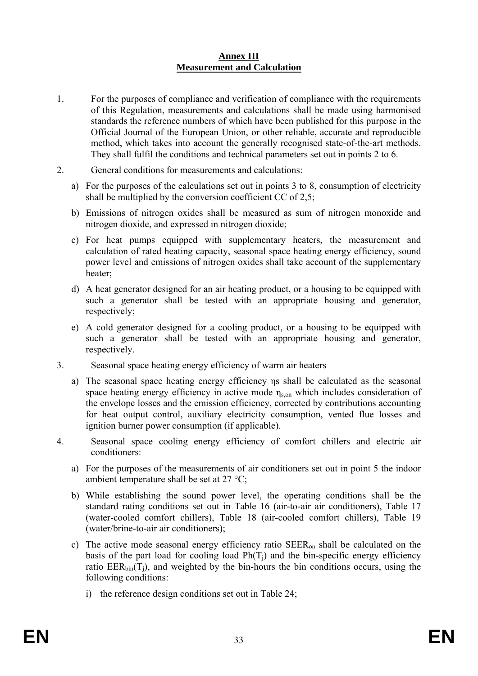#### **Annex III Measurement and Calculation**

- 1. For the purposes of compliance and verification of compliance with the requirements of this Regulation, measurements and calculations shall be made using harmonised standards the reference numbers of which have been published for this purpose in the Official Journal of the European Union, or other reliable, accurate and reproducible method, which takes into account the generally recognised state-of-the-art methods. They shall fulfil the conditions and technical parameters set out in points 2 to 6.
- 2. General conditions for measurements and calculations:
	- a) For the purposes of the calculations set out in points 3 to 8, consumption of electricity shall be multiplied by the conversion coefficient CC of 2,5;
	- b) Emissions of nitrogen oxides shall be measured as sum of nitrogen monoxide and nitrogen dioxide, and expressed in nitrogen dioxide;
	- c) For heat pumps equipped with supplementary heaters, the measurement and calculation of rated heating capacity, seasonal space heating energy efficiency, sound power level and emissions of nitrogen oxides shall take account of the supplementary heater:
	- d) A heat generator designed for an air heating product, or a housing to be equipped with such a generator shall be tested with an appropriate housing and generator, respectively;
	- e) A cold generator designed for a cooling product, or a housing to be equipped with such a generator shall be tested with an appropriate housing and generator, respectively.
- 3. Seasonal space heating energy efficiency of warm air heaters
	- a) The seasonal space heating energy efficiency ηs shall be calculated as the seasonal space heating energy efficiency in active mode  $\eta_{\text{son}}$  which includes consideration of the envelope losses and the emission efficiency, corrected by contributions accounting for heat output control, auxiliary electricity consumption, vented flue losses and ignition burner power consumption (if applicable).
- 4. Seasonal space cooling energy efficiency of comfort chillers and electric air conditioners:
	- a) For the purposes of the measurements of air conditioners set out in point 5 the indoor ambient temperature shall be set at 27 °C;
	- b) While establishing the sound power level, the operating conditions shall be the standard rating conditions set out in Table 16 (air-to-air air conditioners), Table 17 (water-cooled comfort chillers), Table 18 (air-cooled comfort chillers), Table 19 (water/brine-to-air air conditioners);
	- c) The active mode seasonal energy efficiency ratio SEERon shall be calculated on the basis of the part load for cooling load  $Ph(T_i)$  and the bin-specific energy efficiency ratio  $EER_{bin}(T_i)$ , and weighted by the bin-hours the bin conditions occurs, using the following conditions:
		- i) the reference design conditions set out in Table 24;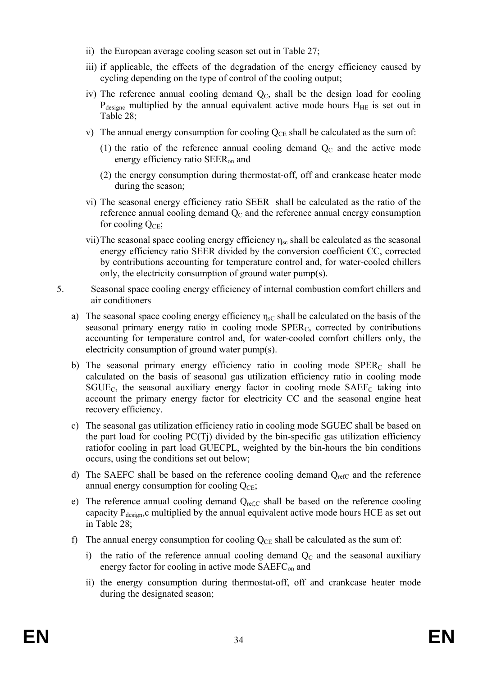- ii) the European average cooling season set out in Table 27;
- iii) if applicable, the effects of the degradation of the energy efficiency caused by cycling depending on the type of control of the cooling output;
- iv) The reference annual cooling demand  $Q<sub>C</sub>$ , shall be the design load for cooling  $P_{\text{designc}}$  multiplied by the annual equivalent active mode hours  $H_{\text{HE}}$  is set out in Table 28;
- v) The annual energy consumption for cooling  $Q_{CE}$  shall be calculated as the sum of:
	- (1) the ratio of the reference annual cooling demand  $Q<sub>C</sub>$  and the active mode energy efficiency ratio SEERon and
	- (2) the energy consumption during thermostat-off, off and crankcase heater mode during the season;
- vi) The seasonal energy efficiency ratio SEER shall be calculated as the ratio of the reference annual cooling demand  $Q<sub>C</sub>$  and the reference annual energy consumption for cooling  $Q_{\text{CE}}$ ;
- vii) The seasonal space cooling energy efficiency  $η<sub>sc</sub>$  shall be calculated as the seasonal energy efficiency ratio SEER divided by the conversion coefficient CC, corrected by contributions accounting for temperature control and, for water-cooled chillers only, the electricity consumption of ground water pump(s).
- 5. Seasonal space cooling energy efficiency of internal combustion comfort chillers and air conditioners
	- a) The seasonal space cooling energy efficiency  $\eta_{sC}$  shall be calculated on the basis of the seasonal primary energy ratio in cooling mode  $SPER<sub>C</sub>$ , corrected by contributions accounting for temperature control and, for water-cooled comfort chillers only, the electricity consumption of ground water pump(s).
	- b) The seasonal primary energy efficiency ratio in cooling mode  $SPER<sub>C</sub>$  shall be calculated on the basis of seasonal gas utilization efficiency ratio in cooling mode  $S GUE<sub>C</sub>$ , the seasonal auxiliary energy factor in cooling mode  $S AEF<sub>C</sub>$  taking into account the primary energy factor for electricity CC and the seasonal engine heat recovery efficiency.
	- c) The seasonal gas utilization efficiency ratio in cooling mode SGUEC shall be based on the part load for cooling PC(Tj) divided by the bin-specific gas utilization efficiency ratiofor cooling in part load GUECPL, weighted by the bin-hours the bin conditions occurs, using the conditions set out below;
	- d) The SAEFC shall be based on the reference cooling demand  $Q_{refC}$  and the reference annual energy consumption for cooling  $Q_{\text{CE}}$ ;
	- e) The reference annual cooling demand  $Q_{ref,C}$  shall be based on the reference cooling capacity  $P_{\text{design}}$ , c multiplied by the annual equivalent active mode hours HCE as set out in Table 28;
	- f) The annual energy consumption for cooling  $Q_{CE}$  shall be calculated as the sum of:
		- i) the ratio of the reference annual cooling demand  $Q<sub>C</sub>$  and the seasonal auxiliary energy factor for cooling in active mode  $SAEFC<sub>on</sub>$  and
		- ii) the energy consumption during thermostat-off, off and crankcase heater mode during the designated season;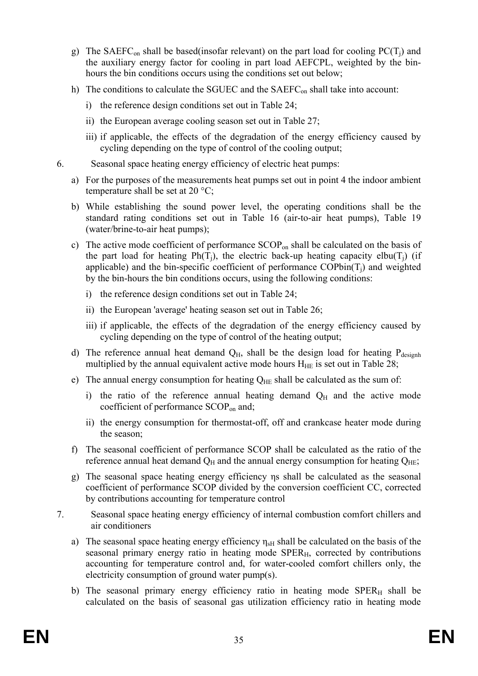- g) The SAEFC<sub>on</sub> shall be based(insofar relevant) on the part load for cooling PC(T<sub>i</sub>) and the auxiliary energy factor for cooling in part load AEFCPL, weighted by the binhours the bin conditions occurs using the conditions set out below;
- h) The conditions to calculate the SGUEC and the SAEFC<sub>on</sub> shall take into account:
	- i) the reference design conditions set out in Table 24;
	- ii) the European average cooling season set out in Table 27;
	- iii) if applicable, the effects of the degradation of the energy efficiency caused by cycling depending on the type of control of the cooling output;
- 6. Seasonal space heating energy efficiency of electric heat pumps:
	- a) For the purposes of the measurements heat pumps set out in point 4 the indoor ambient temperature shall be set at 20 °C;
	- b) While establishing the sound power level, the operating conditions shall be the standard rating conditions set out in Table 16 (air-to-air heat pumps), Table 19 (water/brine-to-air heat pumps);
	- c) The active mode coefficient of performance  $SCOP<sub>on</sub>$  shall be calculated on the basis of the part load for heating  $Ph(T_i)$ , the electric back-up heating capacity elbu(T<sub>i</sub>) (if applicable) and the bin-specific coefficient of performance  $\text{COPbin}(T_i)$  and weighted by the bin-hours the bin conditions occurs, using the following conditions:
		- i) the reference design conditions set out in Table 24;
		- ii) the European 'average' heating season set out in Table 26;
		- iii) if applicable, the effects of the degradation of the energy efficiency caused by cycling depending on the type of control of the heating output;
	- d) The reference annual heat demand  $Q_H$ , shall be the design load for heating  $P_{\text{designh}}$ multiplied by the annual equivalent active mode hours  $H_{HE}$  is set out in Table 28;
	- e) The annual energy consumption for heating  $Q_{HE}$  shall be calculated as the sum of:
		- i) the ratio of the reference annual heating demand  $Q_H$  and the active mode coefficient of performance SCOPon and;
		- ii) the energy consumption for thermostat-off, off and crankcase heater mode during the season;
	- f) The seasonal coefficient of performance SCOP shall be calculated as the ratio of the reference annual heat demand  $Q_H$  and the annual energy consumption for heating  $Q_{HE}$ ;
	- g) The seasonal space heating energy efficiency ηs shall be calculated as the seasonal coefficient of performance SCOP divided by the conversion coefficient CC, corrected by contributions accounting for temperature control
- 7. Seasonal space heating energy efficiency of internal combustion comfort chillers and air conditioners
	- a) The seasonal space heating energy efficiency  $\eta_{\rm sH}$  shall be calculated on the basis of the seasonal primary energy ratio in heating mode SPER<sub>H</sub>, corrected by contributions accounting for temperature control and, for water-cooled comfort chillers only, the electricity consumption of ground water pump(s).
	- b) The seasonal primary energy efficiency ratio in heating mode  $SPER<sub>H</sub>$  shall be calculated on the basis of seasonal gas utilization efficiency ratio in heating mode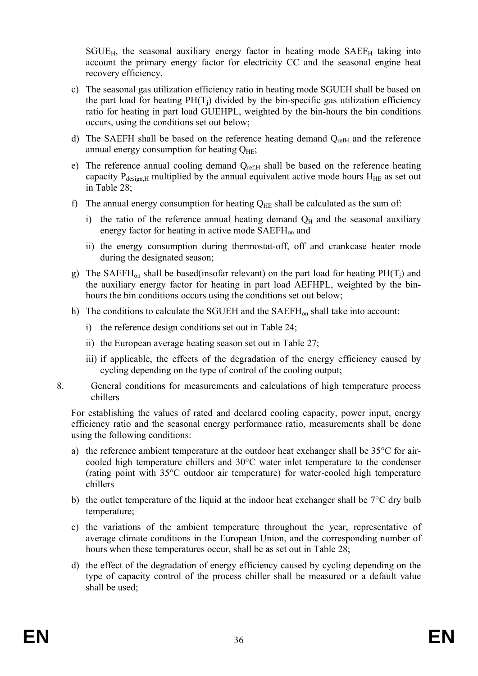$SGUE_{H}$ , the seasonal auxiliary energy factor in heating mode  $SAEF_{H}$  taking into account the primary energy factor for electricity CC and the seasonal engine heat recovery efficiency.

- c) The seasonal gas utilization efficiency ratio in heating mode SGUEH shall be based on the part load for heating  $PH(T_i)$  divided by the bin-specific gas utilization efficiency ratio for heating in part load GUEHPL, weighted by the bin-hours the bin conditions occurs, using the conditions set out below;
- d) The SAEFH shall be based on the reference heating demand  $Q_{refH}$  and the reference annual energy consumption for heating  $Q_{HE}$ ;
- e) The reference annual cooling demand Q<sub>ref,H</sub> shall be based on the reference heating capacity  $P_{\text{design,H}}$  multiplied by the annual equivalent active mode hours  $H_{\text{HE}}$  as set out in Table 28;
- f) The annual energy consumption for heating  $Q_{HE}$  shall be calculated as the sum of:
	- i) the ratio of the reference annual heating demand  $Q_H$  and the seasonal auxiliary energy factor for heating in active mode SAEFH<sub>on</sub> and
	- ii) the energy consumption during thermostat-off, off and crankcase heater mode during the designated season;
- g) The SAEFH<sub>on</sub> shall be based(insofar relevant) on the part load for heating  $PH(T_i)$  and the auxiliary energy factor for heating in part load AEFHPL, weighted by the binhours the bin conditions occurs using the conditions set out below;
- h) The conditions to calculate the SGUEH and the SAEFH<sub>on</sub> shall take into account:
	- i) the reference design conditions set out in Table 24;
	- ii) the European average heating season set out in Table 27;
	- iii) if applicable, the effects of the degradation of the energy efficiency caused by cycling depending on the type of control of the cooling output;
- 8. General conditions for measurements and calculations of high temperature process chillers

For establishing the values of rated and declared cooling capacity, power input, energy efficiency ratio and the seasonal energy performance ratio, measurements shall be done using the following conditions:

- a) the reference ambient temperature at the outdoor heat exchanger shall be 35°C for aircooled high temperature chillers and 30°C water inlet temperature to the condenser (rating point with 35°C outdoor air temperature) for water-cooled high temperature chillers
- b) the outlet temperature of the liquid at the indoor heat exchanger shall be 7°C dry bulb temperature;
- c) the variations of the ambient temperature throughout the year, representative of average climate conditions in the European Union, and the corresponding number of hours when these temperatures occur, shall be as set out in Table 28;
- d) the effect of the degradation of energy efficiency caused by cycling depending on the type of capacity control of the process chiller shall be measured or a default value shall be used;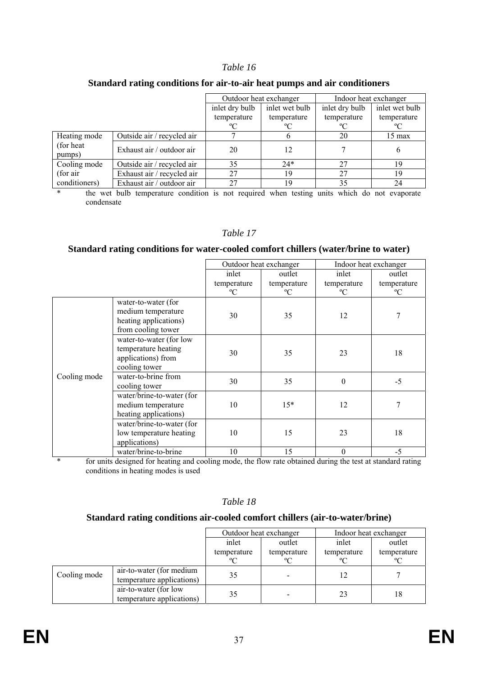|                      |                            | Outdoor heat exchanger |                | Indoor heat exchanger |                  |
|----------------------|----------------------------|------------------------|----------------|-----------------------|------------------|
|                      |                            | inlet dry bulb         | inlet wet bulb | inlet dry bulb        | inlet wet bulb   |
|                      |                            | temperature            | temperature    | temperature           | temperature      |
|                      |                            | $^{\circ}C$            | $^{\circ}C$    | °C                    | °C               |
| Heating mode         | Outside air / recycled air |                        |                | 20                    | $15 \text{ max}$ |
| (for heat)<br>pumps) | Exhaust air / outdoor air  | 20                     | 12             |                       | h                |
| Cooling mode         | Outside air / recycled air | 35                     | $24*$          | 27                    | 19               |
| (for air)            | Exhaust air / recycled air | 27                     | 19             | 27                    | 19               |
| conditioners)        | Exhaust air / outdoor air  | 27                     | 19             | 35                    | 24               |

#### **Standard rating conditions for air-to-air heat pumps and air conditioners**

\* the wet bulb temperature condition is not required when testing units which do not evaporate condensate

#### *Table 17*

#### **Standard rating conditions for water-cooled comfort chillers (water/brine to water)**

|              |                                                                                          | Outdoor heat exchanger |             | Indoor heat exchanger |             |
|--------------|------------------------------------------------------------------------------------------|------------------------|-------------|-----------------------|-------------|
|              |                                                                                          | inlet                  | outlet      | inlet                 | outlet      |
|              |                                                                                          | temperature            | temperature | temperature           | temperature |
|              |                                                                                          | $\rm ^{o}C$            | $\rm ^{o}C$ | $\rm ^{o}C$           | $\rm ^{o}C$ |
|              | water-to-water (for<br>medium temperature<br>heating applications)<br>from cooling tower | 30                     | 35          | 12                    | 7           |
|              | water-to-water (for low<br>temperature heating<br>applications) from<br>cooling tower    | 30                     | 35          | 23                    | 18          |
| Cooling mode | water-to-brine from<br>cooling tower                                                     | 30                     | 35          | $\boldsymbol{0}$      | $-5$        |
|              | water/brine-to-water (for<br>medium temperature<br>heating applications)                 | 10                     | $15*$       | 12                    | 7           |
|              | water/brine-to-water (for<br>low temperature heating<br>applications)                    | 10                     | 15          | 23                    | 18          |
|              | water/brine-to-brine                                                                     | 10                     | 15          | $\boldsymbol{0}$      | $-5$        |

\* for units designed for heating and cooling mode, the flow rate obtained during the test at standard rating conditions in heating modes is used

#### *Table 18*

#### **Standard rating conditions air-cooled comfort chillers (air-to-water/brine)**

|              |                                                       | Outdoor heat exchanger |             | Indoor heat exchanger |             |
|--------------|-------------------------------------------------------|------------------------|-------------|-----------------------|-------------|
|              |                                                       | inlet                  | outlet      | inlet                 | outlet      |
|              |                                                       | temperature            | temperature | temperature           | temperature |
|              |                                                       | $\rm ^{o}C$            | $^{\circ}C$ | °C                    | $\rm ^{o}C$ |
| Cooling mode | air-to-water (for medium<br>temperature applications) | 35                     |             | 12                    |             |
|              | air-to-water (for low<br>temperature applications)    | 35                     |             | 23                    | 18          |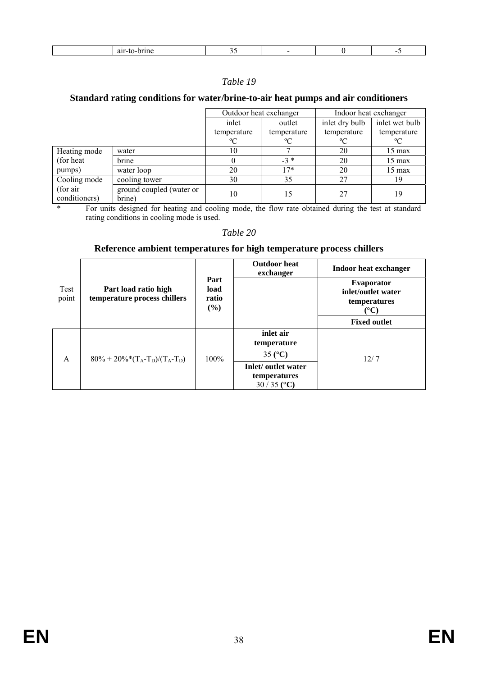| . |  |  |  |  |  |
|---|--|--|--|--|--|
|---|--|--|--|--|--|

### **Standard rating conditions for water/brine-to-air heat pumps and air conditioners**

|                           |                                    | Outdoor heat exchanger |             | Indoor heat exchanger |                  |
|---------------------------|------------------------------------|------------------------|-------------|-----------------------|------------------|
|                           |                                    | inlet                  | outlet      | inlet dry bulb        | inlet wet bulb   |
|                           |                                    | temperature            | temperature | temperature           | temperature      |
|                           |                                    | $\rm ^{o}C$            | $\rm ^{o}C$ | $\rm ^{o}C$           | $\rm ^{o}C$      |
| Heating mode              | water                              | 10                     |             | 20                    | $15 \text{ max}$ |
| (for heat)<br>pumps)      | brine                              |                        | $-3*$       | 20                    | $15 \text{ max}$ |
|                           | water loop                         | 20                     | $7*$        | 20                    | $15 \text{ max}$ |
| Cooling mode              | cooling tower                      | 30                     | 35          | 27                    | 19               |
| (for air<br>conditioners) | ground coupled (water or<br>brine) | 10                     | 15          | 27                    | 19               |

\* For units designed for heating and cooling mode, the flow rate obtained during the test at standard rating conditions in cooling mode is used.

#### *Table 20*

### **Reference ambient temperatures for high temperature process chillers**

|                |                                                      |                                 | <b>Outdoor</b> heat<br>exchanger                    | Indoor heat exchanger                                                            |
|----------------|------------------------------------------------------|---------------------------------|-----------------------------------------------------|----------------------------------------------------------------------------------|
| Test<br>point  | Part load ratio high<br>temperature process chillers | Part<br>load<br>ratio<br>$($ %) |                                                     | <b>Evaporator</b><br>inlet/outlet water<br>temperatures<br>$({}^{\circ}{\bf C})$ |
|                |                                                      |                                 |                                                     | <b>Fixed outlet</b>                                                              |
| $\overline{A}$ |                                                      |                                 | inlet air<br>temperature<br>35 $(C)$                | 12/7                                                                             |
|                | $80\% + 20\%*(T_A-T_D)/(T_A-T_D)$                    | 100%                            | Inlet/ outlet water<br>temperatures<br>$30/35$ (°C) |                                                                                  |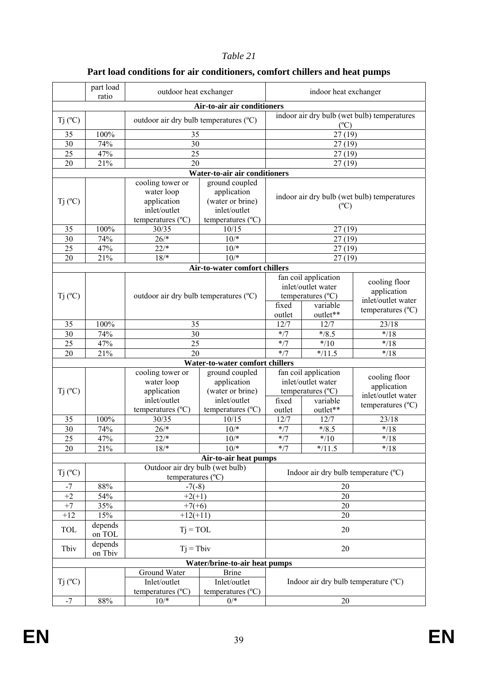|                      | part load<br>ratio | outdoor heat exchanger                                                             |                                                                                                 |                 | indoor heat exchanger                                                                            |                                                                                  |
|----------------------|--------------------|------------------------------------------------------------------------------------|-------------------------------------------------------------------------------------------------|-----------------|--------------------------------------------------------------------------------------------------|----------------------------------------------------------------------------------|
|                      |                    |                                                                                    | Air-to-air air conditioners                                                                     |                 |                                                                                                  |                                                                                  |
| $Tj$ ( $^{\circ}C$ ) |                    | outdoor air dry bulb temperatures (°C)                                             |                                                                                                 |                 | $(^{\circ}C)$                                                                                    | indoor air dry bulb (wet bulb) temperatures                                      |
| 35                   | 100%               | 35                                                                                 |                                                                                                 |                 | 27(19)                                                                                           |                                                                                  |
| $\overline{30}$      | 74%                | 30                                                                                 |                                                                                                 |                 | 27(19)                                                                                           |                                                                                  |
| $\overline{25}$      | 47%                | $\overline{25}$                                                                    |                                                                                                 |                 | 27(19)                                                                                           |                                                                                  |
| 20                   | 21%                | 20                                                                                 |                                                                                                 |                 | 27(19)                                                                                           |                                                                                  |
|                      |                    |                                                                                    | Water-to-air air conditioners                                                                   |                 |                                                                                                  |                                                                                  |
| $Tj$ ( $^{\circ}C$ ) |                    | cooling tower or<br>water loop<br>application<br>inlet/outlet<br>temperatures (°C) | ground coupled<br>application<br>(water or brine)<br>inlet/outlet<br>temperatures (°C)          |                 | $(^{\circ}C)$                                                                                    | indoor air dry bulb (wet bulb) temperatures                                      |
| 35                   | 100%               | 30/35                                                                              | 10/15                                                                                           |                 | 27(19)                                                                                           |                                                                                  |
| 30                   | 74%                | $26/*$                                                                             | $10/*$                                                                                          |                 | 27(19)                                                                                           |                                                                                  |
| 25                   | 47%                | $22/*$                                                                             | $10/*$                                                                                          |                 | 27(19)                                                                                           |                                                                                  |
| 20                   | 21%                | $18/*$                                                                             | $10^{*}$                                                                                        |                 | 27(19)                                                                                           |                                                                                  |
|                      |                    |                                                                                    | Air-to-water comfort chillers                                                                   |                 |                                                                                                  |                                                                                  |
| $Tj$ ( $^{\circ}C$ ) |                    | outdoor air dry bulb temperatures (°C)                                             |                                                                                                 | fixed<br>outlet | fan coil application<br>inlet/outlet water<br>temperatures $(^{\circ}C)$<br>variable<br>outlet** | cooling floor<br>application<br>inlet/outlet water<br>temperatures $(^{\circ}C)$ |
| 35                   | 100%               | 35                                                                                 |                                                                                                 | 12/7            | 12/7                                                                                             | 23/18                                                                            |
| 30                   | 74%                | 30                                                                                 |                                                                                                 | $* / 7$         | $*$ /8.5                                                                                         | $* / 18$                                                                         |
| 25                   | 47%                | 25                                                                                 |                                                                                                 | $*/7$           | $*$ /10                                                                                          | $*_{/18}$                                                                        |
| 20                   | 21%                | 20                                                                                 |                                                                                                 | $* / 7$         | $\overline{*}/11.5$                                                                              | $*$ /18                                                                          |
|                      |                    |                                                                                    | Water-to-water comfort chillers                                                                 |                 |                                                                                                  |                                                                                  |
| $Tj$ ( $^{\circ}C$ ) |                    | cooling tower or<br>water loop<br>application<br>inlet/outlet<br>temperatures (°C) | ground coupled<br>application<br>(water or brine)<br>inlet/outlet<br>temperatures $(^{\circ}C)$ | fixed<br>outlet | fan coil application<br>inlet/outlet water<br>temperatures $(^{\circ}C)$<br>variable<br>outlet** | cooling floor<br>application<br>inlet/outlet water<br>temperatures $(^{\circ}C)$ |
| 35                   | 100%               | 30/35                                                                              | 10/15                                                                                           | 12/7            | 12/7                                                                                             | 23/18                                                                            |
| 30                   | 74%                | $26/*$                                                                             | $10^{*}$                                                                                        | $*$ /7          | $\overline{\ast}/8.5$                                                                            | $* / 18$                                                                         |
| $\overline{25}$      | 47%                | $22/*$                                                                             | $10/*$                                                                                          | $*/7$           | $*$ /10                                                                                          | $* / 18$                                                                         |
| 20                   | 21%                | $18/*$                                                                             | $\frac{10}{*}$                                                                                  | $* / 7$         | $\overline{*}/11.5$                                                                              | $\overline{\ast}$ /18                                                            |
|                      |                    |                                                                                    | Air-to-air heat pumps                                                                           |                 |                                                                                                  |                                                                                  |
| Tj (°C)              |                    | Outdoor air dry bulb (wet bulb)<br>temperatures (°C)                               |                                                                                                 |                 |                                                                                                  | Indoor air dry bulb temperature (°C)                                             |
| -7                   | 88%                | $-7(-8)$                                                                           |                                                                                                 |                 | 20                                                                                               |                                                                                  |
| $+2$                 | 54%                | $+2(+1)$                                                                           |                                                                                                 |                 | 20                                                                                               |                                                                                  |
| $+7$                 | 35%                | $+7(+6)$                                                                           |                                                                                                 |                 | 20                                                                                               |                                                                                  |
| $+12$                | 15%                | $+12(+11)$                                                                         |                                                                                                 |                 | 20                                                                                               |                                                                                  |
| TOL                  | depends<br>on TOL  | $Tj = TOL$                                                                         |                                                                                                 |                 | 20                                                                                               |                                                                                  |
| Tbiv                 | depends<br>on Tbiv | $Tj = Tbiv$                                                                        |                                                                                                 |                 | 20                                                                                               |                                                                                  |
|                      |                    |                                                                                    | Water/brine-to-air heat pumps                                                                   |                 |                                                                                                  |                                                                                  |
| $Tj$ ( $^{\circ}C$ ) |                    | Ground Water<br>Inlet/outlet<br>temperatures $(^{\circ}C)$                         | <b>Brine</b><br>Inlet/outlet<br>temperatures $(^{\circ}C)$                                      |                 |                                                                                                  | Indoor air dry bulb temperature (°C)                                             |
| $-7$                 | $88\%$             | $10/*$                                                                             | $0/*$                                                                                           |                 | $20\,$                                                                                           |                                                                                  |

# **Part load conditions for air conditioners, comfort chillers and heat pumps**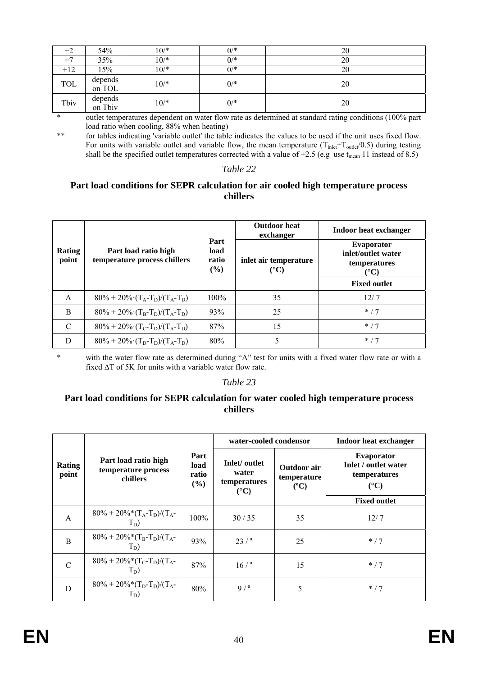| $+2$  | 54%     | $10/*$ | $0/*$ | 20 |
|-------|---------|--------|-------|----|
| $+7$  | 35%     | $10/*$ | $0/*$ | 20 |
| $+12$ | 15%     | $10/*$ | $0/*$ | 20 |
| TOL   | depends | $10/*$ | $0/*$ | 20 |
|       | on TOL  |        |       |    |
| Tbiv  | depends | $10/*$ | $0/*$ | 20 |
|       | on Tbiv |        |       |    |

\* outlet temperatures dependent on water flow rate as determined at standard rating conditions (100% part load ratio when cooling, 88% when heating)

\*\* for tables indicating 'variable outlet' the table indicates the values to be used if the unit uses fixed flow. For units with variable outlet and variable flow, the mean temperature ( $T_{\text{inlet}}+T_{\text{outlet}}(0.5)$  during testing shall be the specified outlet temperatures corrected with a value of +2.5 (e.g use t<sub>mean</sub> 11 instead of 8.5)

#### *Table 22*

### **Part load conditions for SEPR calculation for air cooled high temperature process chillers**

|                        |                                                                                   | Part<br>load<br>ratio<br>$($ %) | <b>Outdoor</b> heat<br>exchanger       | Indoor heat exchanger                                                          |  |
|------------------------|-----------------------------------------------------------------------------------|---------------------------------|----------------------------------------|--------------------------------------------------------------------------------|--|
| <b>Rating</b><br>point | Part load ratio high<br>temperature process chillers                              |                                 | inlet air temperature<br>$(^{\circ}C)$ | <b>Evaporator</b><br>inlet/outlet water<br>temperatures<br>$({}^\circ{\rm C})$ |  |
|                        |                                                                                   |                                 |                                        | <b>Fixed outlet</b>                                                            |  |
| A                      | $80\% + 20\%$ $(T_A-T_D)/(T_A-T_D)$                                               | $100\%$                         | 35                                     | 12/7                                                                           |  |
| B                      | $80\% + 20\%$ $(T_B-T_D)/(T_A-T_D)$                                               | 93%                             | 25                                     | $*$ / 7                                                                        |  |
| C                      | $80\% + 20\% \cdot (T_C - T_D)/(T_A - T_D)$                                       | 87%                             | 15                                     | $*$ / 7                                                                        |  |
| D                      | $80\% + 20\%$ (T <sub>D</sub> -T <sub>D</sub> )/(T <sub>A</sub> -T <sub>D</sub> ) | 80%                             |                                        | $*$ / 7                                                                        |  |

\* with the water flow rate as determined during "A" test for units with a fixed water flow rate or with a fixed ΔT of 5K for units with a variable water flow rate.

#### *Table 23*

### **Part load conditions for SEPR calculation for water cooled high temperature process chillers**

|                        |                                                         | Part<br>load<br>ratio<br>(%) | water-cooled condensor                                   |                                               | <b>Indoor heat exchanger</b>                                                                             |
|------------------------|---------------------------------------------------------|------------------------------|----------------------------------------------------------|-----------------------------------------------|----------------------------------------------------------------------------------------------------------|
| <b>Rating</b><br>point | Part load ratio high<br>temperature process<br>chillers |                              | Inlet/outlet<br>water<br>temperatures<br>$({}^{\circ}C)$ | Outdoor air<br>temperature<br>$({}^{\circ}C)$ | <b>Evaporator</b><br><b>Inlet / outlet water</b><br>temperatures<br>$(^{\circ}C)$<br><b>Fixed outlet</b> |
|                        |                                                         |                              |                                                          |                                               |                                                                                                          |
| A                      | $80\% + 20\% * (T_A-T_D)/(T_A-T_D)$<br>$T_D$ )          | 100%                         | 30/35                                                    | 35                                            | 12/7                                                                                                     |
| B                      | $80\% + 20\% * (T_B - T_D)/(T_A -$<br>$T_D$ )           | 93%                          | $23/$ <sup>a</sup>                                       | 25                                            | $*$ / 7                                                                                                  |
| $\mathcal{C}$          | $80\% + 20\% * (T_C-T_D)/(T_A-$<br>$T_D$ )              | 87%                          | $16/$ <sup>a</sup>                                       | 15                                            | $*$ / 7                                                                                                  |
| D                      | $80\% + 20\%*(T_D-T_D)/(T_A-$<br>$T_D$ )                | 80%                          | $9/^a$                                                   | 5                                             | $*$ / 7                                                                                                  |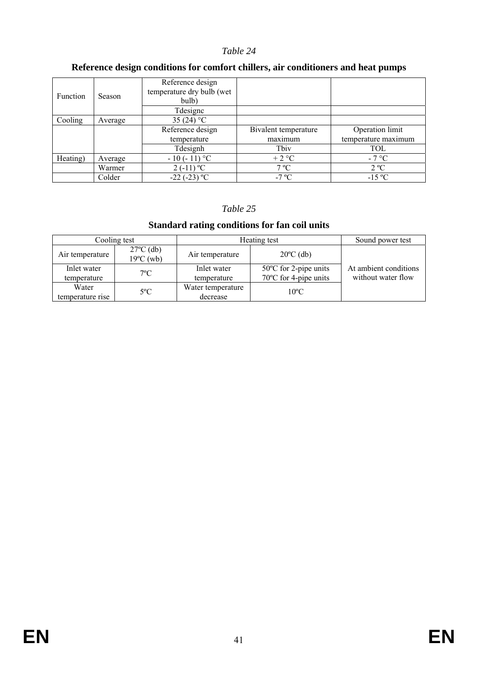### **Reference design conditions for comfort chillers, air conditioners and heat pumps**

| Function<br>Season |         | Reference design<br>temperature dry bulb (wet<br>bulb) |                      |                     |
|--------------------|---------|--------------------------------------------------------|----------------------|---------------------|
|                    |         | Tdesigne                                               |                      |                     |
| Cooling            | Average | 35 $(24) °C$                                           |                      |                     |
|                    |         | Reference design                                       | Bivalent temperature | Operation limit     |
|                    |         | temperature                                            | maximum              | temperature maximum |
|                    |         | Tdesignh                                               | Tbiv                 | TOL                 |
| Heating)           | Average | $-10(-11)$ °C                                          | $+2$ °C              | $-7^{\circ}C$       |
|                    | Warmer  | $2(-11)$ °C                                            | $7^{\circ}C$         | $2^{\circ}C$        |
|                    | Colder  | $-22$ ( $-23$ ) °C                                     | -7 °C                | $-15$ °C            |

### *Table 25*

### **Standard rating conditions for fan coil units**

|                  | Cooling test                               | Heating test      | Sound power test                |                       |
|------------------|--------------------------------------------|-------------------|---------------------------------|-----------------------|
| Air temperature  | $27^{\circ}$ C (db)<br>$19^{\circ}$ C (wb) | Air temperature   | $20^{\circ}$ C (db)             |                       |
| Inlet water      | $7^{\circ}$ C                              | Inlet water       | $50^{\circ}$ C for 2-pipe units | At ambient conditions |
| temperature      |                                            | temperature       | 70°C for 4-pipe units           | without water flow    |
| Water            | $5^{\circ}$ C                              | Water temperature | $10^{\circ}$ C                  |                       |
| temperature rise |                                            | decrease          |                                 |                       |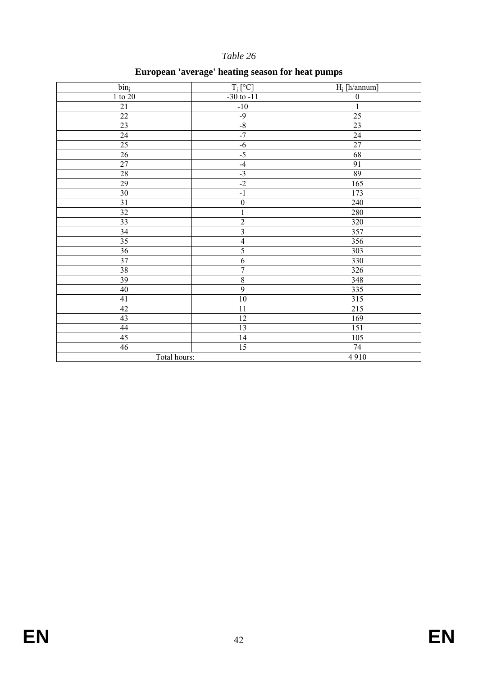# **European 'average' heating season for heat pumps**

| bin <sub>i</sub> | $T_i$ <sup>[°</sup> C]  | $H_i$ [h/annum]  |
|------------------|-------------------------|------------------|
| $1$ to $20\,$    | $-30$ to $-11$          | $\boldsymbol{0}$ |
| $21\,$           | $-10$                   | $\overline{1}$   |
| $22\,$           | $-9$                    | $\overline{25}$  |
| $23\,$           | $-8$                    | $\overline{23}$  |
| 24               | $-7$                    | $\overline{24}$  |
| $25\,$           | $-6$                    | $\overline{27}$  |
| $26\,$           | $-5$                    | 68               |
| $27\,$           | $-4$                    | 91               |
| $28\,$           | $-3$                    | 89               |
| 29               | $-2$                    | 165              |
| $\overline{30}$  | $-1$                    | 173              |
| $\overline{31}$  | $\overline{0}$          | 240              |
| 32               | $\mathbf 1$             | 280              |
| $\overline{33}$  | $\overline{2}$          | 320              |
| $\overline{34}$  | $\overline{\mathbf{3}}$ | 357              |
| 35               | $\overline{4}$          | 356              |
| $\overline{36}$  | 5                       | 303              |
| 37               | $\overline{6}$          | 330              |
| 38               | $\overline{7}$          | 326              |
| $\overline{39}$  | $\boldsymbol{8}$        | 348              |
| 40               | $\overline{9}$          | 335              |
| 41               | $\overline{10}$         | 315              |
| $\overline{42}$  | $1\,1$                  | 215              |
| 43               | 12                      | 169              |
| 44               | 13                      | 151              |
| $\overline{45}$  | 14                      | 105              |
| 46               | 15                      | 74               |
| Total hours:     |                         | 4910             |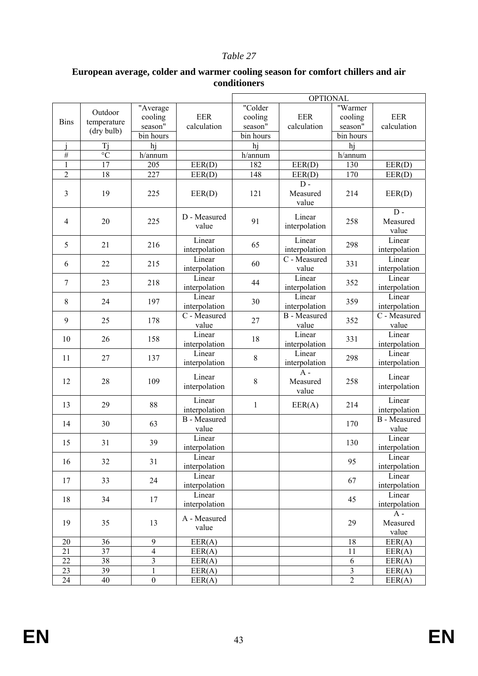|                |                 |                |                         |              | <b>OPTIONAL</b>           |                         |                           |
|----------------|-----------------|----------------|-------------------------|--------------|---------------------------|-------------------------|---------------------------|
|                |                 | "Average       |                         | "Colder      |                           | "Warmer                 |                           |
|                | Outdoor         | cooling        | <b>EER</b>              | cooling      | <b>EER</b>                | cooling                 | <b>EER</b>                |
| <b>Bins</b>    | temperature     | season"        | calculation             | season"      | calculation               | season"                 | calculation               |
|                | (dry bulb)      | bin hours      |                         | bin hours    |                           | bin hours               |                           |
|                | Tj              | hj             |                         | hj           |                           | hj                      |                           |
| #              | $\overline{C}$  | h/annum        |                         | h/annum      |                           | h/annum                 |                           |
| $\mathbf{1}$   | 17              | 205            | EER(D)                  | 182          | EER(D)                    | 130                     | EER(D)                    |
| $\overline{2}$ | 18              | 227            | EER(D)                  | 148          | EER(D)                    | 170                     | EER(D)                    |
|                |                 |                |                         |              | $D -$                     |                         |                           |
| 3              | 19              | 225            | EER(D)                  | 121          | Measured                  | 214                     | EER(D)                    |
|                |                 |                |                         |              | value                     |                         | $D -$                     |
|                |                 |                | D - Measured            | 91           | Linear                    |                         |                           |
| 4              | 20              | 225            | value                   |              | interpolation             | 258                     | Measured                  |
|                |                 |                | Linear                  |              | Linear                    |                         | value<br>Linear           |
| 5              | 21              | 216            | interpolation           | 65           | interpolation             | 298                     | interpolation             |
|                |                 |                | Linear                  |              | $\overline{C}$ - Measured |                         | Linear                    |
| 6              | 22              | 215            | interpolation           | 60           | value                     | 331                     | interpolation             |
|                |                 |                | Linear                  |              | Linear                    |                         | Linear                    |
| 7              | 23              | 218            |                         | 44           |                           | 352                     | interpolation             |
|                |                 |                | interpolation<br>Linear |              | interpolation<br>Linear   |                         | Linear                    |
| 8              | 24              | 197            | interpolation           | 30           | interpolation             | 359                     | interpolation             |
|                |                 | 178            | C - Measured            |              | $\overline{B}$ - Measured | 352                     | $\overline{C}$ - Measured |
| 9              | 25              |                | value                   | 27           | value                     |                         | value                     |
|                |                 |                | Linear                  |              | Linear                    |                         | Linear                    |
| 10             | 26              | 158            |                         | 18           |                           | 331                     |                           |
|                |                 |                | interpolation<br>Linear |              | interpolation<br>Linear   |                         | interpolation<br>Linear   |
| 11             | 27              | 137            | interpolation           | 8            | interpolation             | 298                     | interpolation             |
|                |                 |                |                         |              | $A -$                     |                         |                           |
| 12             | 28              | 109            | Linear                  | 8            | Measured                  | 258                     | Linear                    |
|                |                 |                | interpolation           |              | value                     |                         | interpolation             |
|                |                 |                | Linear                  |              |                           |                         | Linear                    |
| 13             | 29              | 88             | interpolation           | $\mathbf{1}$ | EER(A)                    | 214                     | interpolation             |
|                |                 |                | <b>B</b> - Measured     |              |                           |                         | <b>B</b> - Measured       |
| 14             | 30              | 63             | value                   |              |                           | 170                     | value                     |
|                |                 |                | Linear                  |              |                           |                         | Linear                    |
| 15             | 31              | 39             | interpolation           |              |                           | 130                     | interpolation             |
|                |                 |                | Linear                  |              |                           |                         | Linear                    |
| 16             | 32              | 31             | interpolation           |              |                           | 95                      | interpolation             |
|                |                 |                | Linear                  |              |                           |                         | Linear                    |
| 17             | 33              | 24             | interpolation           |              |                           | 67                      | interpolation             |
|                |                 |                | Linear                  |              |                           |                         | Linear                    |
| 18             | 34              | 17             | interpolation           |              |                           | 45                      | interpolation             |
|                |                 |                |                         |              |                           |                         | $A -$                     |
| 19             | 35              | 13             | A - Measured            |              |                           | 29                      | Measured                  |
|                |                 |                | value                   |              |                           |                         | value                     |
| 20             | 36              | 9              | EER(A)                  |              |                           | 18                      | EER(A)                    |
| 21             | $\overline{37}$ | $\overline{4}$ | EER(A)                  |              |                           | 11                      | EER(A)                    |
| 22             | 38              | $\overline{3}$ | EER(A)                  |              |                           | $\sqrt{6}$              | EER(A)                    |
| 23             | 39              | $\mathbf{1}$   | EER(A)                  |              |                           | $\overline{\mathbf{3}}$ | EER(A)                    |
| 24             | 40              | $\overline{0}$ | EER(A)                  |              |                           | $\overline{2}$          | EER(A)                    |

### **European average, colder and warmer cooling season for comfort chillers and air conditioners**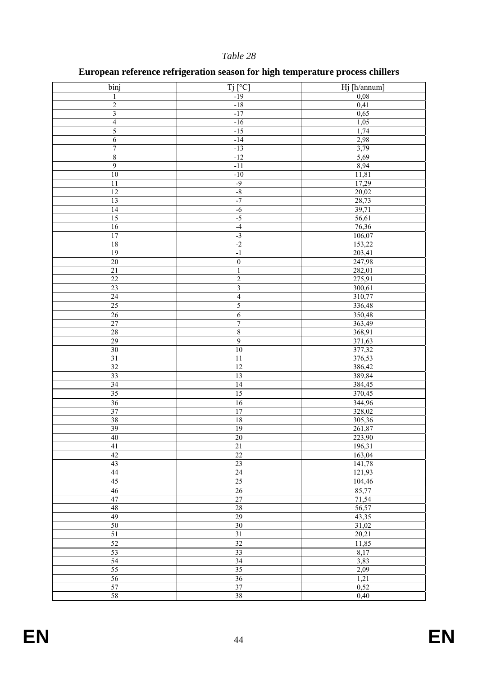# **European reference refrigeration season for high temperature process chillers**

| binj                      | $Tj$ [ $^{\circ}C$ ]      | Hj [h/annum]     |
|---------------------------|---------------------------|------------------|
| $\mathbf{1}$              | $-19$                     | 0,08             |
| $\overline{c}$            | $-18$                     | 0,41             |
| $\overline{\mathbf{3}}$   | $-17$                     | 0,65             |
| $\overline{4}$            | $-16$                     | 1,05             |
| 5                         | $-15$                     | 1,74             |
| $\boldsymbol{6}$          | $-14$                     | 2,98             |
| $\overline{7}$            | $-13$                     | 3,79             |
| $\,$ $\,$                 | $-12$                     | 5,69             |
| $\overline{9}$            | $-11$                     | 8,94             |
| 10                        | $-10$                     | 11,81            |
| $\overline{11}$           | $-9$                      | 17,29            |
| $\overline{12}$           | $-8$                      | 20,02            |
| 13                        | $-7$                      | 28,73            |
| $\overline{14}$           | $-6$                      | 39,71            |
| 15                        | $-5$                      | 56,61            |
| 16                        | $-4$                      | 76,36            |
| 17                        | $-3$                      | 106,07           |
| 18                        | $-2$                      | 153,22           |
| 19                        | $^{\rm -1}$               |                  |
| $\overline{20}$           | $\overline{0}$            | 203,41           |
|                           |                           | 247,98           |
| $21\,$<br>$\overline{22}$ | $\,1\,$<br>$\overline{2}$ | 282,01<br>275,91 |
|                           |                           |                  |
| 23                        | $\mathfrak{Z}$            | 300,61           |
| $\overline{24}$           | $\overline{4}$            | 310,77           |
| 25                        | $\overline{5}$            | 336,48           |
| 26                        | $\overline{6}$            | 350,48           |
| 27                        | $\overline{7}$            | 363,49           |
| 28                        | $\sqrt{8}$                | 368,91           |
| 29                        | 9                         | 371,63           |
| 30                        | 10                        | 377,32           |
| 31                        | $\overline{11}$           | 376,53           |
| 32                        | 12                        | 386,42           |
| 33                        | $\overline{13}$           | 389,84           |
| 34                        | 14                        | 384,45           |
| $\overline{35}$           | $\overline{15}$           | 370,45           |
| 36                        | 16                        | 344,96           |
| 37                        | 17                        | 328,02           |
| 38                        | 18                        | 305,36           |
| 39                        | 19                        | 261,87           |
| $\overline{40}$           | $\overline{20}$           | 223,90           |
| 41                        | $21\,$                    | 196,31           |
| 42                        | $\overline{22}$           | 163,04           |
| 43                        | 23                        | 141,78           |
| 44                        | $\overline{24}$           | 121,93           |
| 45                        | $25\,$                    | 104,46           |
| 46                        | $\overline{26}$           | 85,77            |
| 47                        | 27                        | 71,54            |
| 48                        | 28                        | 56,57            |
| 49                        | 29                        | 43,35            |
| 50                        | 30                        | 31,02            |
| 51                        | 31                        | 20,21            |
| 52                        | 32                        | 11,85            |
| 53                        | 33                        | 8,17             |
| 54                        | 34                        | 3,83             |
| 55                        | $\overline{35}$           | 2,09             |
| 56                        | 36                        | 1,21             |
| 57                        | 37                        | 0,52             |
| 58                        | 38                        | 0,40             |
|                           |                           |                  |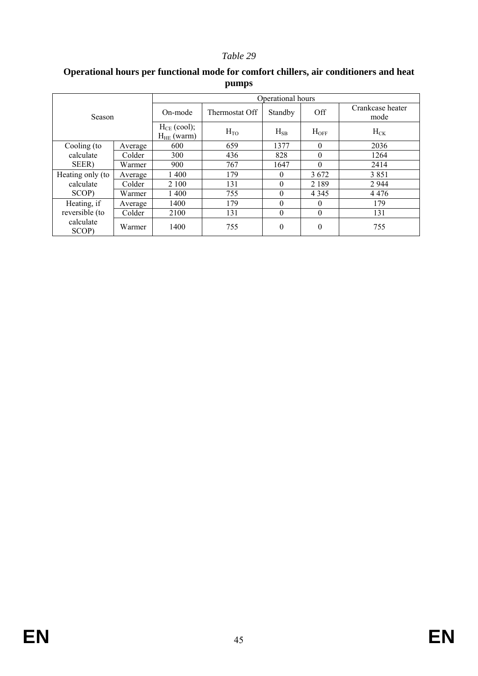|                    |         | Operational hours                   |                |              |                |                          |  |
|--------------------|---------|-------------------------------------|----------------|--------------|----------------|--------------------------|--|
| Season             |         | On-mode                             | Thermostat Off | Standby      | Off            | Crankcase heater<br>mode |  |
|                    |         | $H_{CE}$ (cool);<br>$H_{HE}$ (warm) | $H_{TO}$       | $H_{SB}$     | $H_{\rm OFF}$  | $H_{CK}$                 |  |
| Cooling (to        | Average | 600                                 | 659            | 1377         | $\theta$       | 2036                     |  |
| calculate          | Colder  | 300                                 | 436            | 828          | $\theta$       | 1264                     |  |
| SEER)              | Warmer  | 900                                 | 767            | 1647         | $\Omega$       | 2414                     |  |
| Heating only (to   | Average | 1400                                | 179            | $\theta$     | 3672           | 3851                     |  |
| calculate          | Colder  | 2 100                               | 131            | $\theta$     | 2 1 8 9        | 2944                     |  |
| SCOP)              | Warmer  | 1400                                | 755            | $\theta$     | 4 3 4 5        | 4476                     |  |
| Heating, if        | Average | 1400                                | 179            | $\theta$     | $\theta$       | 179                      |  |
| reversible (to     | Colder  | 2100                                | 131            | $\mathbf{0}$ | $\mathbf{0}$   | 131                      |  |
| calculate<br>SCOP) | Warmer  | 1400                                | 755            | $\theta$     | $\overline{0}$ | 755                      |  |

### **Operational hours per functional mode for comfort chillers, air conditioners and heat pumps**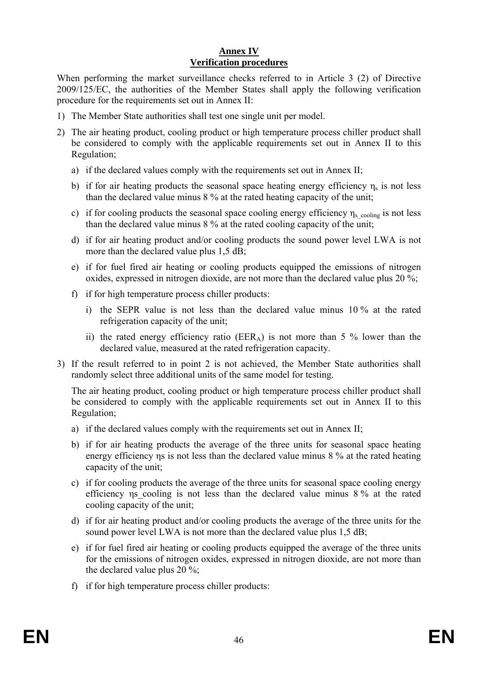### **Annex IV Verification procedures**

When performing the market surveillance checks referred to in Article 3 (2) of Directive 2009/125/EC, the authorities of the Member States shall apply the following verification procedure for the requirements set out in Annex II:

- 1) The Member State authorities shall test one single unit per model.
- 2) The air heating product, cooling product or high temperature process chiller product shall be considered to comply with the applicable requirements set out in Annex II to this Regulation;
	- a) if the declared values comply with the requirements set out in Annex II;
	- b) if for air heating products the seasonal space heating energy efficiency  $\eta_s$  is not less than the declared value minus 8 % at the rated heating capacity of the unit;
	- c) if for cooling products the seasonal space cooling energy efficiency  $\eta_{s\_cooling}$  is not less than the declared value minus 8 % at the rated cooling capacity of the unit;
	- d) if for air heating product and/or cooling products the sound power level LWA is not more than the declared value plus 1.5 dB;
	- e) if for fuel fired air heating or cooling products equipped the emissions of nitrogen oxides, expressed in nitrogen dioxide, are not more than the declared value plus 20 %;
	- f) if for high temperature process chiller products:
		- i) the SEPR value is not less than the declared value minus 10 % at the rated refrigeration capacity of the unit;
		- ii) the rated energy efficiency ratio (EER<sub>A</sub>) is not more than 5 % lower than the declared value, measured at the rated refrigeration capacity.
- 3) If the result referred to in point 2 is not achieved, the Member State authorities shall randomly select three additional units of the same model for testing.

The air heating product, cooling product or high temperature process chiller product shall be considered to comply with the applicable requirements set out in Annex II to this Regulation;

- a) if the declared values comply with the requirements set out in Annex II;
- b) if for air heating products the average of the three units for seasonal space heating energy efficiency ns is not less than the declared value minus 8 % at the rated heating capacity of the unit;
- c) if for cooling products the average of the three units for seasonal space cooling energy efficiency ηs\_cooling is not less than the declared value minus 8 % at the rated cooling capacity of the unit;
- d) if for air heating product and/or cooling products the average of the three units for the sound power level LWA is not more than the declared value plus 1,5 dB;
- e) if for fuel fired air heating or cooling products equipped the average of the three units for the emissions of nitrogen oxides, expressed in nitrogen dioxide, are not more than the declared value plus 20 %;
- f) if for high temperature process chiller products: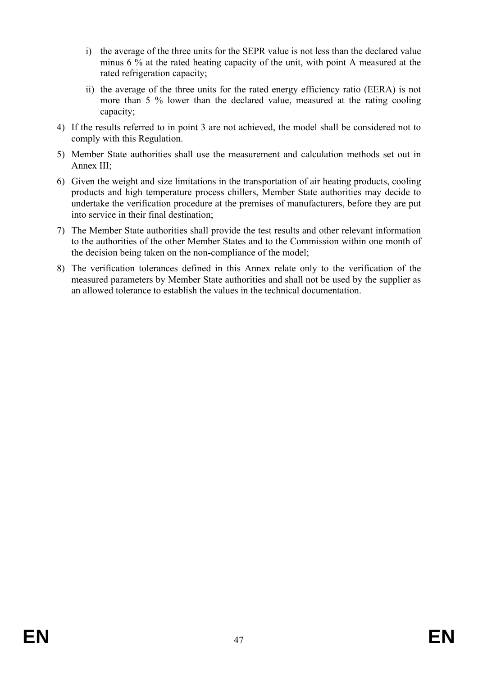- i) the average of the three units for the SEPR value is not less than the declared value minus 6 % at the rated heating capacity of the unit, with point A measured at the rated refrigeration capacity;
- ii) the average of the three units for the rated energy efficiency ratio (EERA) is not more than 5 % lower than the declared value, measured at the rating cooling capacity;
- 4) If the results referred to in point 3 are not achieved, the model shall be considered not to comply with this Regulation.
- 5) Member State authorities shall use the measurement and calculation methods set out in Annex III;
- 6) Given the weight and size limitations in the transportation of air heating products, cooling products and high temperature process chillers, Member State authorities may decide to undertake the verification procedure at the premises of manufacturers, before they are put into service in their final destination;
- 7) The Member State authorities shall provide the test results and other relevant information to the authorities of the other Member States and to the Commission within one month of the decision being taken on the non-compliance of the model;
- 8) The verification tolerances defined in this Annex relate only to the verification of the measured parameters by Member State authorities and shall not be used by the supplier as an allowed tolerance to establish the values in the technical documentation.